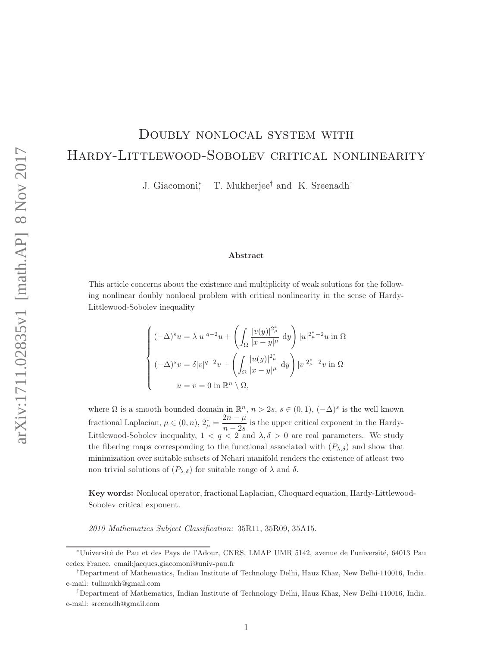# Doubly nonlocal system with Hardy-Littlewood-Sobolev critical nonlinearity

J. Giacomoni<sup>∗</sup> , T. Mukherjee† and K. Sreenadh‡

#### Abstract

This article concerns about the existence and multiplicity of weak solutions for the following nonlinear doubly nonlocal problem with critical nonlinearity in the sense of Hardy-Littlewood-Sobolev inequality

$$
\begin{cases} (-\Delta)^s u = \lambda |u|^{q-2} u + \left( \int_{\Omega} \frac{|v(y)|^{2_{\mu}^*}}{|x-y|^{\mu}} dy \right) |u|^{2_{\mu}^* - 2} u \text{ in } \Omega \\ \\ (-\Delta)^s v = \delta |v|^{q-2} v + \left( \int_{\Omega} \frac{|u(y)|^{2_{\mu}^*}}{|x-y|^{\mu}} dy \right) |v|^{2_{\mu}^* - 2} v \text{ in } \Omega \\ \\ u = v = 0 \text{ in } \mathbb{R}^n \setminus \Omega, \end{cases}
$$

where  $\Omega$  is a smooth bounded domain in  $\mathbb{R}^n$ ,  $n > 2s$ ,  $s \in (0,1)$ ,  $(-\Delta)^s$  is the well known fractional Laplacian,  $\mu \in (0, n)$ ,  $2_{\mu}^{*} = \frac{2n - \mu}{n}$  $\frac{2n}{n-2s}$  is the upper critical exponent in the Hardy-Littlewood-Sobolev inequality,  $1 < q < 2$  and  $\lambda, \delta > 0$  are real parameters. We study the fibering maps corresponding to the functional associated with  $(P_{\lambda,\delta})$  and show that minimization over suitable subsets of Nehari manifold renders the existence of atleast two non trivial solutions of  $(P_{\lambda,\delta})$  for suitable range of  $\lambda$  and  $\delta$ .

Key words: Nonlocal operator, fractional Laplacian, Choquard equation, Hardy-Littlewood-Sobolev critical exponent.

2010 Mathematics Subject Classification: 35R11, 35R09, 35A15.

<sup>∗</sup>Universit´e de Pau et des Pays de l'Adour, CNRS, LMAP UMR 5142, avenue de l'universit´e, 64013 Pau cedex France. email:jacques.giacomoni@univ-pau.fr

<sup>†</sup>Department of Mathematics, Indian Institute of Technology Delhi, Hauz Khaz, New Delhi-110016, India. e-mail: tulimukh@gmail.com

<sup>‡</sup>Department of Mathematics, Indian Institute of Technology Delhi, Hauz Khaz, New Delhi-110016, India. e-mail: sreenadh@gmail.com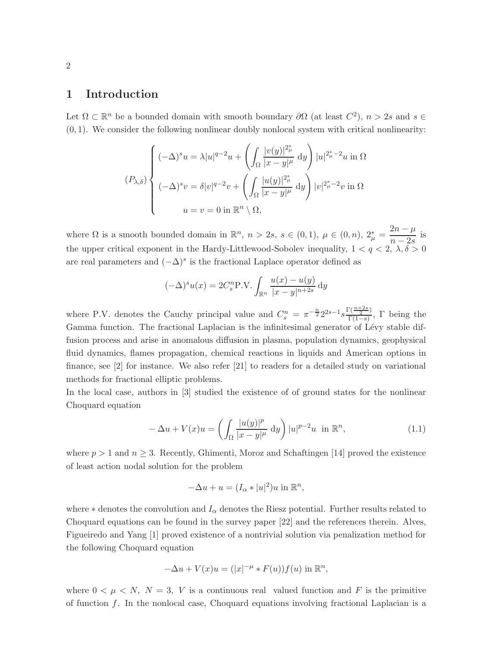# 1 Introduction

Let  $\Omega \subset \mathbb{R}^n$  be a bounded domain with smooth boundary  $\partial\Omega$  (at least  $C^2$ ),  $n > 2s$  and  $s \in$  $(0, 1)$ . We consider the following nonlinear doubly nonlocal system with critical nonlinearity:

$$
(P_{\lambda,\delta})\begin{cases} (-\Delta)^s u = \lambda |u|^{q-2}u + \left(\int_{\Omega} \frac{|v(y)|^{2\mu} }{|x-y|^{\mu}} dy\right) |u|^{2\mu} e^{-2}u \text{ in } \Omega\\ (-\Delta)^s v = \delta |v|^{q-2}v + \left(\int_{\Omega} \frac{|u(y)|^{2\mu} }{|x-y|^{\mu}} dy\right) |v|^{2\mu} e^{-2}v \text{ in } \Omega\\ u = v = 0 \text{ in } \mathbb{R}^n \setminus \Omega, \end{cases}
$$

where  $\Omega$  is a smooth bounded domain in  $\mathbb{R}^n$ ,  $n > 2s$ ,  $s \in (0,1)$ ,  $\mu \in (0,n)$ ,  $2^*_{\mu} = \frac{2n - \mu}{n-2s}$  $\frac{n}{n-2s}$  is the upper critical exponent in the Hardy-Littlewood-Sobolev inequality,  $1 < q < 2, \lambda, \delta > 0$ are real parameters and  $(-\Delta)^s$  is the fractional Laplace operator defined as

$$
(-\Delta)^s u(x) = 2C_s^n P.V. \int_{\mathbb{R}^n} \frac{u(x) - u(y)}{|x - y|^{n+2s}} dy
$$

where P.V. denotes the Cauchy principal value and  $C_s^n = \pi^{-\frac{n}{2}} 2^{2s-1} s \frac{\Gamma(\frac{n+2s}{2})}{\Gamma(1-s)}$  $\frac{\Gamma(\frac{2}{2})}{\Gamma(1-s)}$ ,  $\Gamma$  being the Gamma function. The fractional Laplacian is the infinitesimal generator of Lévy stable diffusion process and arise in anomalous diffusion in plasma, population dynamics, geophysical fluid dynamics, flames propagation, chemical reactions in liquids and American options in finance, see [2] for instance. We also refer [21] to readers for a detailed study on variational methods for fractional elliptic problems.

In the local case, authors in [3] studied the existence of of ground states for the nonlinear Choquard equation

$$
-\Delta u + V(x)u = \left(\int_{\Omega} \frac{|u(y)|^p}{|x-y|^{\mu}} dy\right) |u|^{p-2}u \text{ in } \mathbb{R}^n,
$$
\n(1.1)

where  $p > 1$  and  $n \geq 3$ . Recently, Ghimenti, Moroz and Schaftingen [14] proved the existence of least action nodal solution for the problem

$$
-\Delta u + u = (I_{\alpha} * |u|^2)u \text{ in } \mathbb{R}^n,
$$

where  $*$  denotes the convolution and  $I_{\alpha}$  denotes the Riesz potential. Further results related to Choquard equations can be found in the survey paper [22] and the references therein. Alves, Figueiredo and Yang [1] proved existence of a nontrivial solution via penalization method for the following Choquard equation

$$
-\Delta u + V(x)u = (|x|^{-\mu} * F(u))f(u) \text{ in } \mathbb{R}^n,
$$

where  $0 < \mu < N$ ,  $N = 3$ , V is a continuous real valued function and F is the primitive of function  $f$ . In the nonlocal case, Choquard equations involving fractional Laplacian is a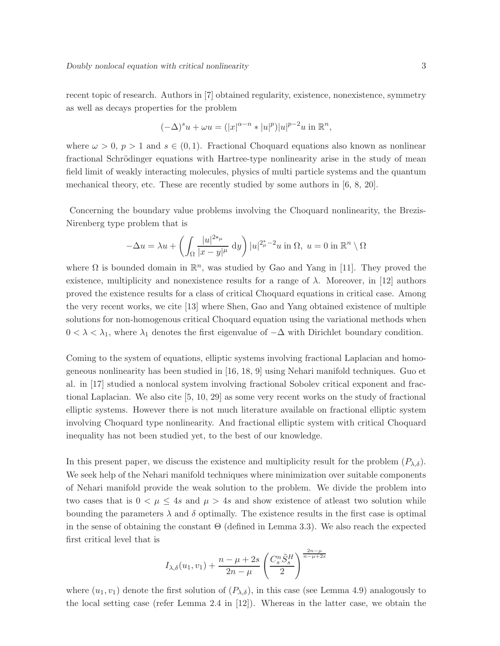recent topic of research. Authors in [7] obtained regularity, existence, nonexistence, symmetry as well as decays properties for the problem

$$
(-\Delta)^s u + \omega u = (|x|^{\alpha - n} * |u|^p)|u|^{p-2}u \text{ in } \mathbb{R}^n,
$$

where  $\omega > 0$ ,  $p > 1$  and  $s \in (0, 1)$ . Fractional Choquard equations also known as nonlinear fractional Schrödinger equations with Hartree-type nonlinearity arise in the study of mean field limit of weakly interacting molecules, physics of multi particle systems and the quantum mechanical theory, etc. These are recently studied by some authors in [6, 8, 20].

Concerning the boundary value problems involving the Choquard nonlinearity, the Brezis-Nirenberg type problem that is

$$
-\Delta u = \lambda u + \left(\int_{\Omega} \frac{|u|^{2\ast \mu}}{|x - y|^{\mu}} dy\right) |u|^{2\ast \mu - 2} u \text{ in } \Omega, u = 0 \text{ in } \mathbb{R}^n \setminus \Omega
$$

where  $\Omega$  is bounded domain in  $\mathbb{R}^n$ , was studied by Gao and Yang in [11]. They proved the existence, multiplicity and nonexistence results for a range of  $\lambda$ . Moreover, in [12] authors proved the existence results for a class of critical Choquard equations in critical case. Among the very recent works, we cite [13] where Shen, Gao and Yang obtained existence of multiple solutions for non-homogenous critical Choquard equation using the variational methods when  $0 < \lambda < \lambda_1$ , where  $\lambda_1$  denotes the first eigenvalue of  $-\Delta$  with Dirichlet boundary condition.

Coming to the system of equations, elliptic systems involving fractional Laplacian and homogeneous nonlinearity has been studied in [16, 18, 9] using Nehari manifold techniques. Guo et al. in [17] studied a nonlocal system involving fractional Sobolev critical exponent and fractional Laplacian. We also cite [5, 10, 29] as some very recent works on the study of fractional elliptic systems. However there is not much literature available on fractional elliptic system involving Choquard type nonlinearity. And fractional elliptic system with critical Choquard inequality has not been studied yet, to the best of our knowledge.

In this present paper, we discuss the existence and multiplicity result for the problem  $(P_{\lambda,\delta})$ . We seek help of the Nehari manifold techniques where minimization over suitable components of Nehari manifold provide the weak solution to the problem. We divide the problem into two cases that is  $0 < \mu \leq 4s$  and  $\mu > 4s$  and show existence of atleast two solution while bounding the parameters  $\lambda$  and  $\delta$  optimally. The existence results in the first case is optimal in the sense of obtaining the constant  $\Theta$  (defined in Lemma 3.3). We also reach the expected first critical level that is

$$
I_{\lambda,\delta}(u_1,v_1) + \frac{n-\mu+2s}{2n-\mu} \left(\frac{C_s^n \tilde{S}_s^H}{2}\right)^{\frac{2n-\mu}{n-\mu+2s}}
$$

where  $(u_1, v_1)$  denote the first solution of  $(P_{\lambda,\delta})$ , in this case (see Lemma 4.9) analogously to the local setting case (refer Lemma 2.4 in [12]). Whereas in the latter case, we obtain the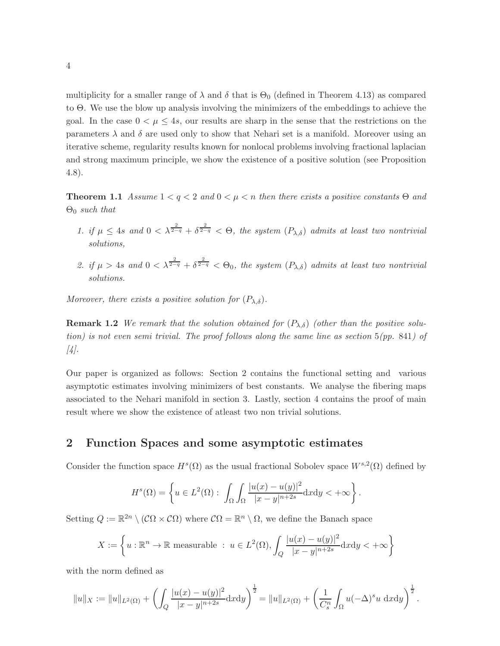multiplicity for a smaller range of  $\lambda$  and  $\delta$  that is  $\Theta_0$  (defined in Theorem 4.13) as compared to Θ. We use the blow up analysis involving the minimizers of the embeddings to achieve the goal. In the case  $0 < \mu \leq 4s$ , our results are sharp in the sense that the restrictions on the parameters  $\lambda$  and  $\delta$  are used only to show that Nehari set is a manifold. Moreover using an iterative scheme, regularity results known for nonlocal problems involving fractional laplacian and strong maximum principle, we show the existence of a positive solution (see Proposition 4.8).

**Theorem 1.1** Assume  $1 < q < 2$  and  $0 < \mu < n$  then there exists a positive constants  $\Theta$  and  $\Theta_0$  such that

- 1. if  $\mu \leq 4$ s and  $0 < \lambda^{\frac{2}{2-q}} + \delta^{\frac{2}{2-q}} < \Theta$ , the system  $(P_{\lambda,\delta})$  admits at least two nontrivial solutions,
- 2. if  $\mu > 4s$  and  $0 < \lambda^{\frac{2}{2-q}} + \delta^{\frac{2}{2-q}} < \Theta_0$ , the system  $(P_{\lambda,\delta})$  admits at least two nontrivial solutions.

Moreover, there exists a positive solution for  $(P_{\lambda,\delta})$ .

**Remark 1.2** We remark that the solution obtained for  $(P_{\lambda,\delta})$  (other than the positive solution) is not even semi trivial. The proof follows along the same line as section 5(pp. 841) of [4].

Our paper is organized as follows: Section 2 contains the functional setting and various asymptotic estimates involving minimizers of best constants. We analyse the fibering maps associated to the Nehari manifold in section 3. Lastly, section 4 contains the proof of main result where we show the existence of atleast two non trivial solutions.

## 2 Function Spaces and some asymptotic estimates

Consider the function space  $H^s(\Omega)$  as the usual fractional Sobolev space  $W^{s,2}(\Omega)$  defined by

$$
H^{s}(\Omega) = \left\{ u \in L^{2}(\Omega) : \int_{\Omega} \int_{\Omega} \frac{|u(x) - u(y)|^{2}}{|x - y|^{n+2s}} dx dy < +\infty \right\}.
$$

Setting  $Q := \mathbb{R}^{2n} \setminus (\mathcal{C}\Omega \times \mathcal{C}\Omega)$  where  $\mathcal{C}\Omega = \mathbb{R}^n \setminus \Omega$ , we define the Banach space

$$
X := \left\{ u : \mathbb{R}^n \to \mathbb{R} \text{ measurable} \ : \ u \in L^2(\Omega), \int_Q \frac{|u(x) - u(y)|^2}{|x - y|^{n+2s}} dx dy < +\infty \right\}
$$

with the norm defined as

$$
||u||_X := ||u||_{L^2(\Omega)} + \left( \int_Q \frac{|u(x) - u(y)|^2}{|x - y|^{n+2s}} dx dy \right)^{\frac{1}{2}} = ||u||_{L^2(\Omega)} + \left( \frac{1}{C_s^n} \int_\Omega u(-\Delta)^s u \, dx dy \right)^{\frac{1}{2}}.
$$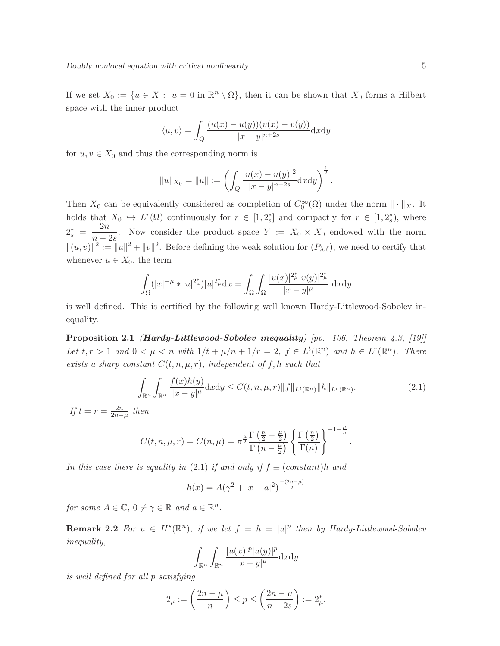If we set  $X_0 := \{u \in X : u = 0 \text{ in } \mathbb{R}^n \setminus \Omega\}$ , then it can be shown that  $X_0$  forms a Hilbert space with the inner product

$$
\langle u, v \rangle = \int_Q \frac{(u(x) - u(y))(v(x) - v(y))}{|x - y|^{n+2s}} dxdy
$$

for  $u, v \in X_0$  and thus the corresponding norm is

$$
||u||_{X_0} = ||u|| := \left( \int_Q \frac{|u(x) - u(y)|^2}{|x - y|^{n+2s}} dxdy \right)^{\frac{1}{2}}.
$$

Then  $X_0$  can be equivalently considered as completion of  $C_0^{\infty}(\Omega)$  under the norm  $\|\cdot\|_X$ . It holds that  $X_0 \hookrightarrow L^r(\Omega)$  continuously for  $r \in [1, 2_s^*]$  and compactly for  $r \in [1, 2_s^*)$ , where  $2_s^* = \frac{2n}{n}$  $\frac{2\pi}{n-2s}$ . Now consider the product space  $Y := X_0 \times X_0$  endowed with the norm  $||(u, v)||^2 := ||u||^2 + ||v||^2$ . Before defining the weak solution for  $(P_{\lambda,\delta})$ , we need to certify that whenever  $u \in X_0$ , the term

$$
\int_{\Omega} (|x|^{-\mu} * |u|^{2\mu}) |u|^{2\mu} dx = \int_{\Omega} \int_{\Omega} \frac{|u(x)|^{2\mu} |v(y)|^{2\mu}}{|x - y|^{\mu}} dxdy
$$

is well defined. This is certified by the following well known Hardy-Littlewood-Sobolev inequality.

**Proposition 2.1** (Hardy-Littlewood-Sobolev inequality) [pp. 106, Theorem 4.3, [19] Let  $t, r > 1$  and  $0 < \mu < n$  with  $1/t + \mu/n + 1/r = 2$ ,  $f \in L^t(\mathbb{R}^n)$  and  $h \in L^r(\mathbb{R}^n)$ . There exists a sharp constant  $C(t, n, \mu, r)$ , independent of f, h such that

$$
\int_{\mathbb{R}^n} \int_{\mathbb{R}^n} \frac{f(x)h(y)}{|x-y|^{\mu}} dx dy \le C(t, n, \mu, r) \|f\|_{L^t(\mathbb{R}^n)} \|h\|_{L^r(\mathbb{R}^n)}.
$$
\n(2.1)

.

If  $t = r = \frac{2n}{2n-\mu}$  then

$$
C(t, n, \mu, r) = C(n, \mu) = \pi^{\frac{\mu}{2}} \frac{\Gamma(\frac{n}{2} - \frac{\mu}{2})}{\Gamma(n - \frac{\mu}{2})} \left\{ \frac{\Gamma(\frac{n}{2})}{\Gamma(n)} \right\}^{-1 + \frac{\mu}{n}}
$$

In this case there is equality in (2.1) if and only if  $f \equiv (constant)h$  and

$$
h(x) = A(\gamma^2 + |x - a|^2)^{\frac{-(2n-\mu)}{2}}
$$

for some  $A \in \mathbb{C}$ ,  $0 \neq \gamma \in \mathbb{R}$  and  $a \in \mathbb{R}^n$ .

**Remark 2.2** For  $u \in H^s(\mathbb{R}^n)$ , if we let  $f = h = |u|^p$  then by Hardy-Littlewood-Sobolev inequality,

$$
\int_{\mathbb{R}^n} \int_{\mathbb{R}^n} \frac{|u(x)|^p |u(y)|^p}{|x-y|^{\mu}} \mathrm{d}x \mathrm{d}y
$$

is well defined for all p satisfying

$$
2_{\mu} := \left(\frac{2n-\mu}{n}\right) \le p \le \left(\frac{2n-\mu}{n-2s}\right) := 2_{\mu}^*.
$$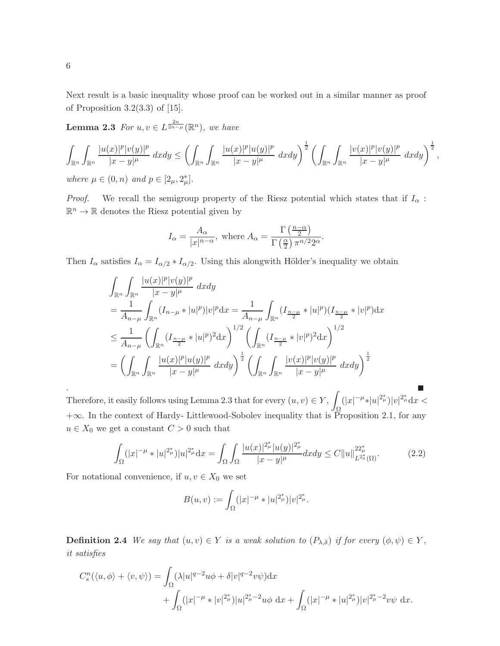Next result is a basic inequality whose proof can be worked out in a similar manner as proof of Proposition 3.2(3.3) of  $[15]$ .

**Lemma 2.3** For  $u, v \in L^{\frac{2n}{2n-\mu}}(\mathbb{R}^n)$ , we have

$$
\int_{\mathbb{R}^n} \int_{\mathbb{R}^n} \frac{|u(x)|^p |v(y)|^p}{|x - y|^{\mu}} dxdy \le \left( \int_{\mathbb{R}^n} \int_{\mathbb{R}^n} \frac{|u(x)|^p |u(y)|^p}{|x - y|^{\mu}} dxdy \right)^{\frac{1}{2}} \left( \int_{\mathbb{R}^n} \int_{\mathbb{R}^n} \frac{|v(x)|^p |v(y)|^p}{|x - y|^{\mu}} dxdy \right)^{\frac{1}{2}},
$$
  
where  $\mu \in (0, n)$  and  $p \in [2\mu, 2\frac{*}{\mu}]$ .

*Proof.* We recall the semigroup property of the Riesz potential which states that if  $I_{\alpha}$ :  $\mathbb{R}^n \to \mathbb{R}$  denotes the Riesz potential given by

$$
I_{\alpha} = \frac{A_{\alpha}}{|x|^{n-\alpha}}, \text{ where } A_{\alpha} = \frac{\Gamma\left(\frac{n-\alpha}{2}\right)}{\Gamma\left(\frac{\alpha}{2}\right)\pi^{n/2}2^{\alpha}}.
$$

Then  $I_{\alpha}$  satisfies  $I_{\alpha} = I_{\alpha/2} * I_{\alpha/2}$ . Using this alongwith Hölder's inequality we obtain

$$
\int_{\mathbb{R}^n} \int_{\mathbb{R}^n} \frac{|u(x)|^p |v(y)|^p}{|x - y|^{\mu}} dx dy
$$
\n
$$
= \frac{1}{A_{n-\mu}} \int_{\mathbb{R}^n} (I_{n-\mu} * |u|^p) |v|^p dx = \frac{1}{A_{n-\mu}} \int_{\mathbb{R}^n} (I_{\frac{n-\mu}{2}} * |u|^p) (I_{\frac{n-\mu}{2}} * |v|^p) dx
$$
\n
$$
\leq \frac{1}{A_{n-\mu}} \left( \int_{\mathbb{R}^n} (I_{\frac{n-\mu}{2}} * |u|^p)^2 dx \right)^{1/2} \left( \int_{\mathbb{R}^n} (I_{\frac{n-\mu}{2}} * |v|^p)^2 dx \right)^{1/2}
$$
\n
$$
= \left( \int_{\mathbb{R}^n} \int_{\mathbb{R}^n} \frac{|u(x)|^p |u(y)|^p}{|x - y|^{\mu}} dx dy \right)^{\frac{1}{2}} \left( \int_{\mathbb{R}^n} \int_{\mathbb{R}^n} \frac{|v(x)|^p |v(y)|^p}{|x - y|^{\mu}} dx dy \right)^{\frac{1}{2}}
$$

. Therefore, it easily follows using Lemma 2.3 that for every  $(u, v) \in Y$ , Ω  $(|x|^{-\mu} \cdot |u|^{2_{\mu}^*}) |v|^{2_{\mu}^*} dx <$ +∞. In the context of Hardy- Littlewood-Sobolev inequality that is Proposition 2.1, for any  $u \in X_0$  we get a constant  $C > 0$  such that

$$
\int_{\Omega} (|x|^{-\mu} * |u|^{2\mu}) |u|^{2\mu} dx = \int_{\Omega} \int_{\Omega} \frac{|u(x)|^{2\mu} |u(y)|^{2\mu}}{|x - y|^{\mu}} dx dy \leq C \|u\|_{L^{2^*}}^{22^*}(\Omega). \tag{2.2}
$$

For notational convenience, if  $u, v \in X_0$  we set

$$
B(u, v) := \int_{\Omega} (|x|^{-\mu} * |u|^{2\mu}) |v|^{2\mu}.
$$

**Definition 2.4** We say that  $(u, v) \in Y$  is a weak solution to  $(P_{\lambda, \delta})$  if for every  $(\phi, \psi) \in Y$ , it satisfies

$$
C_s^n(\langle u, \phi \rangle + \langle v, \psi \rangle) = \int_{\Omega} (\lambda |u|^{q-2} u \phi + \delta |v|^{q-2} v \psi) dx + \int_{\Omega} (|x|^{-\mu} * |v|^{2\mu}) |u|^{2\mu - 2} u \phi dx + \int_{\Omega} (|x|^{-\mu} * |u|^{2\mu}) |v|^{2\mu - 2} v \psi dx.
$$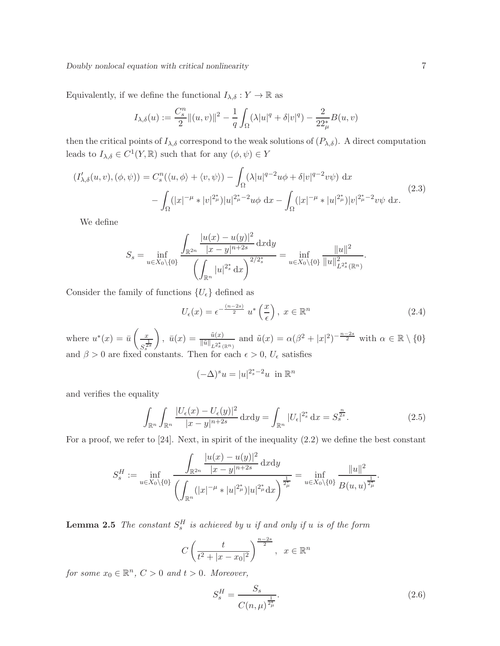Doubly nonlocal equation with critical nonlinearity 7

Equivalently, if we define the functional  $I_{\lambda,\delta}: Y \to \mathbb{R}$  as

$$
I_{\lambda,\delta}(u) := \frac{C_s^n}{2} ||(u,v)||^2 - \frac{1}{q} \int_{\Omega} (\lambda |u|^q + \delta |v|^q) - \frac{2}{22_\mu^*} B(u,v)
$$

then the critical points of  $I_{\lambda,\delta}$  correspond to the weak solutions of  $(P_{\lambda,\delta})$ . A direct computation leads to  $I_{\lambda,\delta} \in C^1(Y,\mathbb{R})$  such that for any  $(\phi,\psi) \in Y$ 

$$
(I'_{\lambda,\delta}(u,v),(\phi,\psi)) = C_s^n(\langle u,\phi\rangle + \langle v,\psi\rangle) - \int_{\Omega} (\lambda |u|^{q-2}u\phi + \delta |v|^{q-2}v\psi) \, dx
$$
  
- 
$$
\int_{\Omega} (|x|^{-\mu} * |v|^{2\mu}) |u|^{2\mu} u\phi \, dx - \int_{\Omega} (|x|^{-\mu} * |u|^{2\mu}) |v|^{2\mu} u\phi \, dx.
$$
 (2.3)

We define

$$
S_s = \inf_{u \in X_0 \setminus \{0\}} \frac{\int_{\mathbb{R}^{2n}} \frac{|u(x) - u(y)|^2}{|x - y|^{n+2s}} dxdy}{\left(\int_{\mathbb{R}^n} |u|^{2^*_s} dx\right)^{2/2^*_s}} = \inf_{u \in X_0 \setminus \{0\}} \frac{\|u\|^2}{\|u\|_{L^{2^*_s}(\mathbb{R}^n)}^2}.
$$

Consider the family of functions  $\{U_{\epsilon}\}\$  defined as

$$
U_{\epsilon}(x) = \epsilon^{-\frac{(n-2s)}{2}} u^* \left(\frac{x}{\epsilon}\right), \ x \in \mathbb{R}^n \tag{2.4}
$$

where  $u^*(x) = \bar{u} \left( \frac{x}{x} \right)$  $S_s^{\frac{1}{2s}}$  $\left( \int_{R} \bar{u}(x) \, dx \right) = \frac{\tilde{u}(x)}{\|\tilde{u}\|_{L^{2^*_s}(\mathbb{R}^n)}}$  and  $\tilde{u}(x) = \alpha(\beta^2 + |x|^2)^{-\frac{n-2s}{2}}$  with  $\alpha \in \mathbb{R} \setminus \{0\}$ and  $\beta > 0$  are fixed constants. Then for each  $\epsilon > 0$ ,  $U_{\epsilon}$  satisfies

$$
(-\Delta)^s u = |u|^{2_s^*-2} u \text{ in } \mathbb{R}^n
$$

and verifies the equality

$$
\int_{\mathbb{R}^n} \int_{\mathbb{R}^n} \frac{|U_{\epsilon}(x) - U_{\epsilon}(y)|^2}{|x - y|^{n+2s}} \, \mathrm{d}x \mathrm{d}y = \int_{\mathbb{R}^n} |U_{\epsilon}|^{2^*} \, \mathrm{d}x = S_s^{\frac{n}{2s}}.
$$
\n(2.5)

For a proof, we refer to [24]. Next, in spirit of the inequality (2.2) we define the best constant

$$
S_s^H := \inf_{u \in X_0 \setminus \{0\}} \frac{\int_{\mathbb{R}^{2n}} \frac{|u(x) - u(y)|^2}{|x - y|^{n+2s}} dx dy}{\left(\int_{\mathbb{R}^n} (|x|^{-\mu} * |u|^{2\mu}) |u|^{2\mu} dx\right)^{\frac{1}{2\mu}}} = \inf_{u \in X_0 \setminus \{0\}} \frac{\|u\|^2}{B(u, u)^{\frac{1}{2\mu}}}
$$

**Lemma 2.5** The constant  $S_s^H$  is achieved by u if and only if u is of the form

$$
C\left(\frac{t}{t^2+|x-x_0|^2}\right)^{\frac{n-2s}{2}}, \ \ x \in \mathbb{R}^n
$$

for some  $x_0 \in \mathbb{R}^n$ ,  $C > 0$  and  $t > 0$ . Moreover,

$$
S_s^H = \frac{S_s}{C(n,\mu)^{\frac{1}{2^*_{\mu}}}}.\t(2.6)
$$

.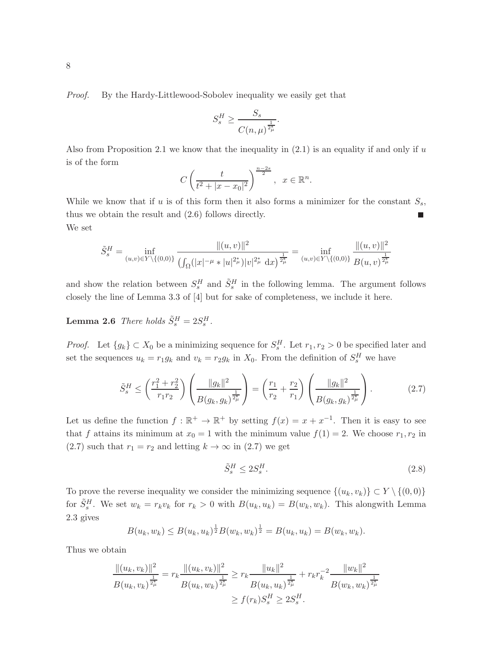Proof. By the Hardy-Littlewood-Sobolev inequality we easily get that

$$
S_s^H \ge \frac{S_s}{C(n,\mu)^{\frac{1}{2_\mu^*}}}.
$$

Also from Proposition 2.1 we know that the inequality in  $(2.1)$  is an equality if and only if u is of the form

$$
C\left(\frac{t}{t^2+|x-x_0|^2}\right)^{\frac{n-2s}{2}}, x \in \mathbb{R}^n.
$$

While we know that if u is of this form then it also forms a minimizer for the constant  $S_s$ , thus we obtain the result and (2.6) follows directly. We set

$$
\tilde{S}_s^H = \inf_{(u,v)\in Y\backslash\{(0,0)\}} \frac{\|(u,v)\|^2}{\left(\int_{\Omega} (|x|^{-\mu} * |u|^{2\mu}) |v|^{2\mu} dx\right)^{\frac{1}{2\mu}}} = \inf_{(u,v)\in Y\backslash\{(0,0)\}} \frac{\|(u,v)\|^2}{B(u,v)^{\frac{1}{2\mu}}}
$$

and show the relation between  $S_s^H$  and  $\tilde{S}_s^H$  in the following lemma. The argument follows closely the line of Lemma 3.3 of [4] but for sake of completeness, we include it here.

**Lemma 2.6** There holds  $\tilde{S}_s^H = 2S_s^H$ .

*Proof.* Let  $\{g_k\} \subset X_0$  be a minimizing sequence for  $S_s^H$ . Let  $r_1, r_2 > 0$  be specified later and set the sequences  $u_k = r_1 g_k$  and  $v_k = r_2 g_k$  in  $X_0$ . From the definition of  $S_s^H$  we have

$$
\tilde{S}_s^H \le \left(\frac{r_1^2 + r_2^2}{r_1 r_2}\right) \left(\frac{\|g_k\|^2}{B(g_k, g_k)^{\frac{1}{2\mu^*}}}\right) = \left(\frac{r_1}{r_2} + \frac{r_2}{r_1}\right) \left(\frac{\|g_k\|^2}{B(g_k, g_k)^{\frac{1}{2\mu^*}}}\right). \tag{2.7}
$$

Let us define the function  $f : \mathbb{R}^+ \to \mathbb{R}^+$  by setting  $f(x) = x + x^{-1}$ . Then it is easy to see that f attains its minimum at  $x_0 = 1$  with the minimum value  $f(1) = 2$ . We choose  $r_1, r_2$  in (2.7) such that  $r_1 = r_2$  and letting  $k \to \infty$  in (2.7) we get

$$
\tilde{S}_s^H \le 2S_s^H. \tag{2.8}
$$

To prove the reverse inequality we consider the minimizing sequence  $\{(u_k, v_k)\}\subset Y\setminus\{(0,0)\}\$ for  $\tilde{S}_s^H$ . We set  $w_k = r_k v_k$  for  $r_k > 0$  with  $B(u_k, u_k) = B(w_k, w_k)$ . This alongwith Lemma 2.3 gives

$$
B(u_k, w_k) \le B(u_k, u_k)^{\frac{1}{2}} B(w_k, w_k)^{\frac{1}{2}} = B(u_k, u_k) = B(w_k, w_k).
$$

Thus we obtain

$$
\frac{\|(u_k, v_k)\|^2}{B(u_k, v_k)^{\frac{1}{2^*_\mu}}} = r_k \frac{\|(u_k, v_k)\|^2}{B(u_k, w_k)^{\frac{1}{2^*_\mu}}} \ge r_k \frac{\|u_k\|^2}{B(u_k, u_k)^{\frac{1}{2^*_\mu}}} + r_k r_k^{-2} \frac{\|w_k\|^2}{B(w_k, w_k)^{\frac{1}{2^*_\mu}}}
$$

$$
\ge f(r_k) S_s^H \ge 2S_s^H.
$$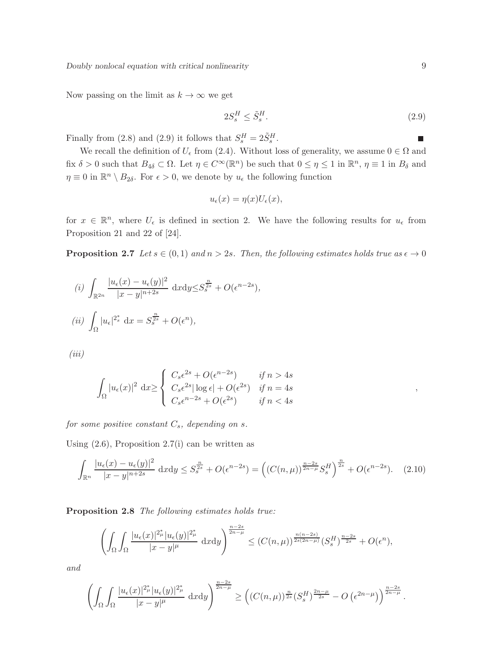Now passing on the limit as  $k \to \infty$  we get

$$
2S_s^H \le \tilde{S}_s^H. \tag{2.9}
$$

Finally from (2.8) and (2.9) it follows that  $S_s^H = 2\tilde{S}_s^H$ .

We recall the definition of  $U_{\epsilon}$  from (2.4). Without loss of generality, we assume  $0 \in \Omega$  and fix  $\delta > 0$  such that  $B_{4\delta} \subset \Omega$ . Let  $\eta \in C^{\infty}(\mathbb{R}^n)$  be such that  $0 \leq \eta \leq 1$  in  $\mathbb{R}^n$ ,  $\eta \equiv 1$  in  $B_{\delta}$  and  $\eta \equiv 0$  in  $\mathbb{R}^n \setminus B_{2\delta}$ . For  $\epsilon > 0$ , we denote by  $u_{\epsilon}$  the following function

$$
u_{\epsilon}(x) = \eta(x)U_{\epsilon}(x),
$$

for  $x \in \mathbb{R}^n$ , where  $U_{\epsilon}$  is defined in section 2. We have the following results for  $u_{\epsilon}$  from Proposition 21 and 22 of [24].

**Proposition 2.7** Let  $s \in (0,1)$  and  $n > 2s$ . Then, the following estimates holds true as  $\epsilon \to 0$ 

(i) 
$$
\int_{\mathbb{R}^{2n}} \frac{|u_{\epsilon}(x) - u_{\epsilon}(y)|^2}{|x - y|^{n+2s}} dxdy \leq S_s^{\frac{n}{2s}} + O(\epsilon^{n-2s}),
$$
  
\n(ii) 
$$
\int_{\Omega} |u_{\epsilon}|^{2_s^*} dx = S_s^{\frac{n}{2s}} + O(\epsilon^n),
$$

(iii)

$$
\int_{\Omega} |u_{\epsilon}(x)|^2 dx \ge \begin{cases} C_s \epsilon^{2s} + O(\epsilon^{n-2s}) & \text{if } n > 4s \\ C_s \epsilon^{2s} |\log \epsilon| + O(\epsilon^{2s}) & \text{if } n = 4s \\ C_s \epsilon^{n-2s} + O(\epsilon^{2s}) & \text{if } n < 4s \end{cases}
$$

for some positive constant  $C_s$ , depending on  $s$ .

Using  $(2.6)$ , Proposition 2.7(i) can be written as

$$
\int_{\mathbb{R}^n} \frac{|u_\epsilon(x) - u_\epsilon(y)|^2}{|x - y|^{n+2s}} \, \mathrm{d}x \mathrm{d}y \le S_s^{\frac{n}{2s}} + O(\epsilon^{n-2s}) = \left( (C(n,\mu))^{\frac{n-2s}{2n-\mu}} S_s^H \right)^{\frac{n}{2s}} + O(\epsilon^{n-2s}). \tag{2.10}
$$

Proposition 2.8 The following estimates holds true:

$$
\left(\int_{\Omega}\int_{\Omega}\frac{|u_{\epsilon}(x)|^{2_{\mu}^{\ast}}|u_{\epsilon}(y)|^{2_{\mu}^{\ast}}}{|x-y|^{\mu}}\,\mathrm{d}x\mathrm{d}y\right)^{\frac{n-2s}{2n-\mu}} \leq \left(C(n,\mu)\right)^{\frac{n(n-2s)}{2s(2n-\mu)}}\left(S_{s}^{H}\right)^{\frac{n-2s}{2s}} + O(\epsilon^{n}),
$$

and

$$
\left(\int_{\Omega}\int_{\Omega}\frac{|u_{\epsilon}(x)|^{2_{\mu}^{\ast}}|u_{\epsilon}(y)|^{2_{\mu}^{\ast}}}{|x-y|^{\mu}}\;{\rm d}x{\rm d}y\right)^{\frac{n-2s}{2n-\mu}}\geq \left((C(n,\mu))^{\frac{n}{2s}}(S^{H}_{s})^{\frac{2n-\mu}{2s}}-O\left(\epsilon^{2n-\mu}\right)\right)^{\frac{n-2s}{2n-\mu}}.
$$

П

,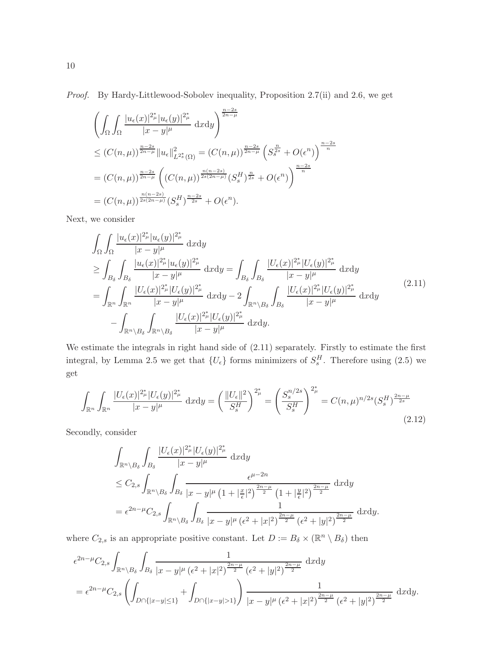Proof. By Hardy-Littlewood-Sobolev inequality, Proposition 2.7(ii) and 2.6, we get

$$
\left(\int_{\Omega} \int_{\Omega} \frac{|u_{\epsilon}(x)|^{2_{\mu}^{\ast}}|u_{\epsilon}(y)|^{2_{\mu}^{\ast}}}{|x-y|^{\mu}} dxdy\right)^{\frac{n-2s}{2n-\mu}}\n\leq (C(n,\mu))^{\frac{n-2s}{2n-\mu}} \|u_{\epsilon}\|_{L^{2_{s}^{\ast}}(\Omega)}^{2} = (C(n,\mu))^{\frac{n-2s}{2n-\mu}} \left(S_{s}^{\frac{n}{2s}} + O(\epsilon^{n})\right)^{\frac{n-2s}{n}}\n= (C(n,\mu))^{\frac{n-2s}{2n-\mu}} \left((C(n,\mu))^{\frac{n(n-2s)}{2s(2n-\mu)}} (S_{s}^{H})^{\frac{n}{2s}} + O(\epsilon^{n})\right)^{\frac{n-2s}{n}}\n= (C(n,\mu))^{\frac{n(n-2s)}{2s(2n-\mu)}} (S_{s}^{H})^{\frac{n-2s}{2s}} + O(\epsilon^{n}).
$$

Next, we consider

$$
\int_{\Omega} \int_{\Omega} \frac{|u_{\epsilon}(x)|^{2_{\mu}^{\ast}}|u_{\epsilon}(y)|^{2_{\mu}^{\ast}}}{|x-y|^{\mu}} dxdy \n\geq \int_{B_{\delta}} \int_{B_{\delta}} \frac{|u_{\epsilon}(x)|^{2_{\mu}^{\ast}}|u_{\epsilon}(y)|^{2_{\mu}^{\ast}}}{|x-y|^{\mu}} dxdy = \int_{B_{\delta}} \int_{B_{\delta}} \frac{|U_{\epsilon}(x)|^{2_{\mu}^{\ast}}|U_{\epsilon}(y)|^{2_{\mu}^{\ast}}}{|x-y|^{\mu}} dxdy \n= \int_{\mathbb{R}^{n}} \int_{\mathbb{R}^{n}} \frac{|U_{\epsilon}(x)|^{2_{\mu}^{\ast}}|U_{\epsilon}(y)|^{2_{\mu}^{\ast}}}{|x-y|^{\mu}} dxdy - 2 \int_{\mathbb{R}^{n} \setminus B_{\delta}} \int_{B_{\delta}} \frac{|U_{\epsilon}(x)|^{2_{\mu}^{\ast}}|U_{\epsilon}(y)|^{2_{\mu}^{\ast}}}{|x-y|^{\mu}} dxdy \n- \int_{\mathbb{R}^{n} \setminus B_{\delta}} \int_{\mathbb{R}^{n} \setminus B_{\delta}} \frac{|U_{\epsilon}(x)|^{2_{\mu}^{\ast}}|U_{\epsilon}(y)|^{2_{\mu}^{\ast}}}{|x-y|^{\mu}} dxdy.
$$
\n(2.11)

We estimate the integrals in right hand side of (2.11) separately. Firstly to estimate the first integral, by Lemma 2.5 we get that  $\{U_{\epsilon}\}\$ forms minimizers of  $S_s^H$ . Therefore using (2.5) we get

$$
\int_{\mathbb{R}^n} \int_{\mathbb{R}^n} \frac{|U_{\epsilon}(x)|^{2_{\mu}^{\ast}}|U_{\epsilon}(y)|^{2_{\mu}^{\ast}}}{|x-y|^{\mu}} dxdy = \left(\frac{\|U_{\epsilon}\|^2}{S_s^H}\right)^{2_{\mu}^{\ast}} = \left(\frac{S_s^{n/2s}}{S_s^H}\right)^{2_{\mu}^{\ast}} = C(n,\mu)^{n/2s} (S_s^H)^{\frac{2n-\mu}{2s}} \tag{2.12}
$$

Secondly, consider

$$
\int_{\mathbb{R}^n \setminus B_\delta} \int_{B_\delta} \frac{|U_{\epsilon}(x)|^{2\mu} |U_{\epsilon}(y)|^{2\mu}}{|x - y|^{\mu}} dxdy
$$
\n
$$
\leq C_{2,s} \int_{\mathbb{R}^n \setminus B_\delta} \int_{B_\delta} \frac{\epsilon^{\mu - 2n}}{|x - y|^{\mu} (1 + |\frac{x}{\epsilon}|^2)^{\frac{2n - \mu}{2}} (1 + |\frac{y}{\epsilon}|^2)^{\frac{2n - \mu}{2}}} dxdy
$$
\n
$$
= \epsilon^{2n - \mu} C_{2,s} \int_{\mathbb{R}^n \setminus B_\delta} \int_{B_\delta} \frac{1}{|x - y|^{\mu} (\epsilon^2 + |x|^2)^{\frac{2n - \mu}{2}} (\epsilon^2 + |y|^2)^{\frac{2n - \mu}{2}}} dxdy.
$$

where  $C_{2,s}$  is an appropriate positive constant. Let  $D := B_{\delta} \times (\mathbb{R}^n \setminus B_{\delta})$  then

$$
\epsilon^{2n-\mu}C_{2,s} \int_{\mathbb{R}^n \setminus B_\delta} \int_{B_\delta} \frac{1}{|x-y|^{\mu} (\epsilon^2 + |x|^2)^{\frac{2n-\mu}{2}} (\epsilon^2 + |y|^2)^{\frac{2n-\mu}{2}}} dxdy
$$
  
=  $\epsilon^{2n-\mu}C_{2,s} \left( \int_{D \cap \{|x-y| \le 1\}} + \int_{D \cap \{|x-y| > 1\}} \right) \frac{1}{|x-y|^{\mu} (\epsilon^2 + |x|^2)^{\frac{2n-\mu}{2}} (\epsilon^2 + |y|^2)^{\frac{2n-\mu}{2}}} dxdy.$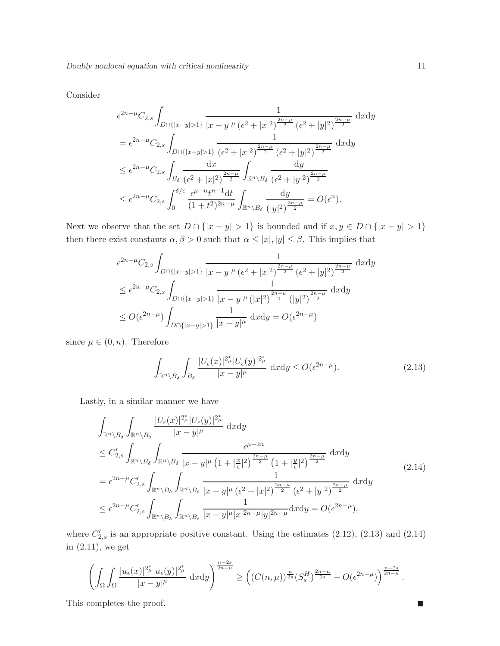Consider

$$
\epsilon^{2n-\mu}C_{2,s}\int_{D\cap\{|x-y|>1\}}\frac{1}{|x-y|^{\mu}(\epsilon^2+|x|^2)^{\frac{2n-\mu}{2}}(\epsilon^2+|y|^2)^{\frac{2n-\mu}{2}}}\,dxdy
$$
\n
$$
=\epsilon^{2n-\mu}C_{2,s}\int_{D\cap\{|x-y|>1\}}\frac{1}{(\epsilon^2+|x|^2)^{\frac{2n-\mu}{2}}(\epsilon^2+|y|^2)^{\frac{2n-\mu}{2}}}\,dxdy
$$
\n
$$
\leq \epsilon^{2n-\mu}C_{2,s}\int_{B_{\delta}}\frac{dx}{(\epsilon^2+|x|^2)^{\frac{2n-\mu}{2}}}\int_{\mathbb{R}^n\setminus B_{\delta}}\frac{dy}{(\epsilon^2+|y|^2)^{\frac{2n-\mu}{2}}}
$$
\n
$$
\leq \epsilon^{2n-\mu}C_{2,s}\int_0^{\delta/\epsilon}\frac{\epsilon^{\mu-n}t^{n-1}\mathrm{d}t}{(1+t^2)^{2n-\mu}}\int_{\mathbb{R}^n\setminus B_{\delta}}\frac{dy}{(|y|^2)^{\frac{2n-\mu}{2}}} = O(\epsilon^n).
$$

Next we observe that the set  $D \cap \{|x - y| > 1\}$  is bounded and if  $x, y \in D \cap \{|x - y| > 1\}$ then there exist constants  $\alpha, \beta > 0$  such that  $\alpha \leq |x|, |y| \leq \beta$ . This implies that

$$
\epsilon^{2n-\mu}C_{2,s} \int_{D \cap \{|x-y|>1\}} \frac{1}{|x-y|^{\mu} (\epsilon^2 + |x|^2)^{\frac{2n-\mu}{2}} (\epsilon^2 + |y|^2)^{\frac{2n-\mu}{2}}} dxdy
$$
  

$$
\leq \epsilon^{2n-\mu}C_{2,s} \int_{D \cap \{|x-y|>1\}} \frac{1}{|x-y|^{\mu} (|x|^2)^{\frac{2n-\mu}{2}} (|y|^2)^{\frac{2n-\mu}{2}}} dxdy
$$
  

$$
\leq O(\epsilon^{2n-\mu}) \int_{D \cap \{|x-y|>1\}} \frac{1}{|x-y|^{\mu}} dxdy = O(\epsilon^{2n-\mu})
$$

since  $\mu \in (0, n)$ . Therefore

$$
\int_{\mathbb{R}^n \setminus B_\delta} \int_{B_\delta} \frac{|U_\epsilon(x)|^{2_\mu^*} |U_\epsilon(y)|^{2_\mu^*}}{|x - y|^\mu} \, \mathrm{d}x \mathrm{d}y \le O(\epsilon^{2n - \mu}).\tag{2.13}
$$

Lastly, in a similar manner we have

$$
\int_{\mathbb{R}^n \setminus B_\delta} \int_{\mathbb{R}^n \setminus B_\delta} \frac{|U_{\epsilon}(x)|^{2_{\mu}^*} |U_{\epsilon}(y)|^{2_{\mu}^*}}{|x - y|^{\mu}} dxdy
$$
\n
$$
\leq C'_{2,s} \int_{\mathbb{R}^n \setminus B_\delta} \int_{\mathbb{R}^n \setminus B_\delta} \frac{e^{\mu - 2n}}{|x - y|^{\mu} (1 + |\frac{x}{\epsilon}|^2)^{\frac{2n - \mu}{2}} (1 + |\frac{y}{\epsilon}|^2)^{\frac{2n - \mu}{2}}} dxdy
$$
\n
$$
= \epsilon^{2n - \mu} C'_{2,s} \int_{\mathbb{R}^n \setminus B_\delta} \int_{\mathbb{R}^n \setminus B_\delta} \frac{1}{|x - y|^{\mu} (\epsilon^2 + |x|^2)^{\frac{2n - \mu}{2}} (\epsilon^2 + |y|^2)^{\frac{2n - \mu}{2}}} dxdy
$$
\n
$$
\leq \epsilon^{2n - \mu} C'_{2,s} \int_{\mathbb{R}^n \setminus B_\delta} \int_{\mathbb{R}^n \setminus B_\delta} \frac{1}{|x - y|^{\mu} |x|^{2n - \mu} |y|^{2n - \mu}} dxdy = O(\epsilon^{2n - \mu}).
$$
\n(2.14)

where  $C'_{2,s}$  is an appropriate positive constant. Using the estimates (2.12), (2.13) and (2.14) in (2.11), we get

$$
\left(\int_{\Omega}\int_{\Omega}\frac{|u_{\epsilon}(x)|^{2_{\mu}^{\ast}}|u_{\epsilon}(y)|^{2_{\mu}^{\ast}}}{|x-y|^{\mu}}\;{\rm d}x{\rm d}y\right)^{\frac{n-2s}{2n-\mu}} \geq \left((C(n,\mu))^{\frac{n}{2s}}(S_{s}^{H})^{\frac{2n-\mu}{2s}}-O(\epsilon^{2n-\mu})\right)^{\frac{n-2s}{2n-\mu}}.
$$

This completes the proof.

П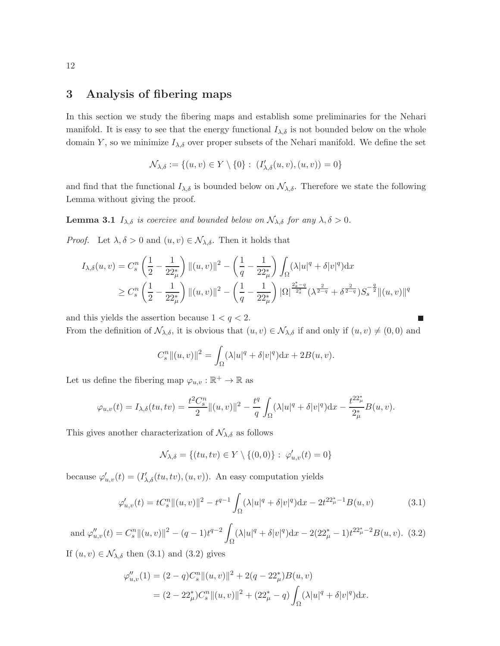# 3 Analysis of fibering maps

In this section we study the fibering maps and establish some preliminaries for the Nehari manifold. It is easy to see that the energy functional  $I_{\lambda,\delta}$  is not bounded below on the whole domain Y, so we minimize  $I_{\lambda,\delta}$  over proper subsets of the Nehari manifold. We define the set

$$
\mathcal{N}_{\lambda,\delta} := \{(u,v) \in Y \setminus \{0\} : (I'_{\lambda,\delta}(u,v),(u,v)) = 0\}
$$

and find that the functional  $I_{\lambda,\delta}$  is bounded below on  $\mathcal{N}_{\lambda,\delta}$ . Therefore we state the following Lemma without giving the proof.

**Lemma 3.1**  $I_{\lambda,\delta}$  is coercive and bounded below on  $\mathcal{N}_{\lambda,\delta}$  for any  $\lambda,\delta>0$ .

*Proof.* Let  $\lambda, \delta > 0$  and  $(u, v) \in \mathcal{N}_{\lambda, \delta}$ . Then it holds that

$$
I_{\lambda,\delta}(u,v) = C_s^n \left(\frac{1}{2} - \frac{1}{22_{\mu}^*}\right) \|(u,v)\|^2 - \left(\frac{1}{q} - \frac{1}{22_{\mu}^*}\right) \int_{\Omega} (\lambda |u|^q + \delta |v|^q) dx
$$
  
\n
$$
\geq C_s^n \left(\frac{1}{2} - \frac{1}{22_{\mu}^*}\right) \|(u,v)\|^2 - \left(\frac{1}{q} - \frac{1}{22_{\mu}^*}\right) \left|\Omega\right|^{\frac{2^*_s-q}{2^*_s}} (\lambda^{\frac{2}{2-q}} + \delta^{\frac{2}{2-q}}) S_s^{-\frac{q}{2}} \|(u,v)\|^q
$$

and this yields the assertion because  $1 < q < 2$ . From the definition of  $\mathcal{N}_{\lambda,\delta}$ , it is obvious that  $(u, v) \in \mathcal{N}_{\lambda,\delta}$  if and only if  $(u, v) \neq (0, 0)$  and

$$
C_s^{n} ||(u, v)||^2 = \int_{\Omega} (\lambda |u|^q + \delta |v|^q) dx + 2B(u, v).
$$

Let us define the fibering map  $\varphi_{u,v} : \mathbb{R}^+ \to \mathbb{R}$  as

$$
\varphi_{u,v}(t) = I_{\lambda,\delta}(tu,tv) = \frac{t^2 C_s^n}{2} ||(u,v)||^2 - \frac{t^q}{q} \int_{\Omega} (\lambda |u|^q + \delta |v|^q) dx - \frac{t^{22\mu} \mu}{2\mu} B(u,v).
$$

This gives another characterization of  $\mathcal{N}_{\lambda,\delta}$  as follows

$$
\mathcal{N}_{\lambda,\delta} = \{(tu,tv) \in Y \setminus \{(0,0)\} : \varphi'_{u,v}(t) = 0\}
$$

because  $\varphi'_{u,v}(t) = (I'_{\lambda,\delta}(tu,tv), (u,v))$ . An easy computation yields

$$
\varphi'_{u,v}(t) = tC_s^n \|(u,v)\|^2 - t^{q-1} \int_{\Omega} (\lambda |u|^q + \delta |v|^q) dx - 2t^{2\frac{q}{\mu}-1} B(u,v) \tag{3.1}
$$

and  $\varphi''_{u,v}(t) = C_s^n ||(u, v)||^2 - (q - 1)t^{q-2}$ Ω  $(\lambda |u|^q + \delta |v|^q)dx - 2(22^*_{\mu} - 1)t^{22^*_{\mu} - 2}B(u, v).$  (3.2)

If  $(u, v) \in \mathcal{N}_{\lambda, \delta}$  then  $(3.1)$  and  $(3.2)$  gives

$$
\varphi_{u,v}''(1) = (2-q)C_s^n \|(u,v)\|^2 + 2(q-22^*_{\mu})B(u,v)
$$
  
=  $(2-22^*_{\mu})C_s^n \|(u,v)\|^2 + (22^*_{\mu} - q) \int_{\Omega} (\lambda |u|^q + \delta |v|^q) dx.$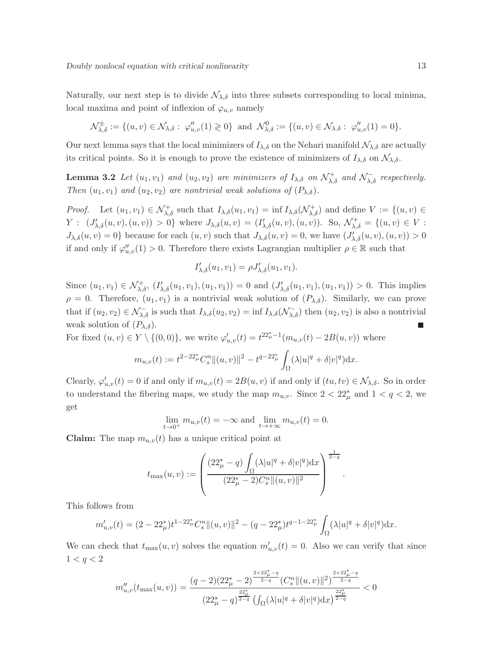Naturally, our next step is to divide  $\mathcal{N}_{\lambda,\delta}$  into three subsets corresponding to local minima, local maxima and point of inflexion of  $\varphi_{u,v}$  namely

$$
\mathcal{N}_{\lambda,\delta}^{\pm} := \{ (u,v) \in \mathcal{N}_{\lambda,\delta} : \varphi''_{u,v}(1) \geq 0 \} \text{ and } \mathcal{N}_{\lambda,\delta}^{0} := \{ (u,v) \in \mathcal{N}_{\lambda,\delta} : \varphi''_{u,v}(1) = 0 \}.
$$

Our next lemma says that the local minimizers of  $I_{\lambda,\delta}$  on the Nehari manifold  $\mathcal{N}_{\lambda,\delta}$  are actually its critical points. So it is enough to prove the existence of minimizers of  $I_{\lambda,\delta}$  on  $\mathcal{N}_{\lambda,\delta}$ .

**Lemma 3.2** Let  $(u_1, v_1)$  and  $(u_2, v_2)$  are minimizers of  $I_{\lambda,\delta}$  on  $\mathcal{N}_{\lambda,\delta}^+$  and  $\mathcal{N}_{\lambda,\delta}^-$  respectively. Then  $(u_1, v_1)$  and  $(u_2, v_2)$  are nontrivial weak solutions of  $(P_{\lambda,\delta})$ .

*Proof.* Let  $(u_1, v_1) \in \mathcal{N}_{\lambda, \delta}^+$  such that  $I_{\lambda, \delta}(u_1, v_1) = \inf I_{\lambda, \delta}(\mathcal{N}_{\lambda, \delta}^+)$  and define  $V := \{(u, v) \in$  $Y: (J'_{\lambda,\delta}(u,v),(u,v)) > 0\}$  where  $J_{\lambda,\delta}(u,v) = (I'_{\lambda,\delta}(u,v),(u,v))$ . So,  $\mathcal{N}^+_{\lambda,\delta} = \{(u,v) \in V :$  $J_{\lambda,\delta}(u,v) = 0$ } because for each  $(u, v)$  such that  $J_{\lambda,\delta}(u, v) = 0$ , we have  $(J'_{\lambda,\delta}(u, v), (u, v)) > 0$ if and only if  $\varphi''_{u,v}(1) > 0$ . Therefore there exists Lagrangian multiplier  $\rho \in \mathbb{R}$  such that

$$
I'_{\lambda,\delta}(u_1,v_1)=\rho J'_{\lambda,\delta}(u_1,v_1).
$$

Since  $(u_1, v_1) \in \mathcal{N}_{\lambda, \delta}^+$ ,  $(I'_{\lambda, \delta}(u_1, v_1), (u_1, v_1)) = 0$  and  $(J'_{\lambda, \delta}(u_1, v_1), (u_1, v_1)) > 0$ . This implies  $\rho = 0$ . Therefore,  $(u_1, v_1)$  is a nontrivial weak solution of  $(P_{\lambda,\delta})$ . Similarly, we can prove that if  $(u_2, v_2) \in \mathcal{N}_{\lambda, \delta}^-$  is such that  $I_{\lambda, \delta}(u_2, v_2) = \inf I_{\lambda, \delta}(\mathcal{N}_{\lambda, \delta}^-)$  then  $(u_2, v_2)$  is also a nontrivial weak solution of  $(P_{\lambda,\delta})$ . П

For fixed  $(u, v) \in Y \setminus \{(0, 0)\}\)$ , we write  $\varphi'_{u, v}(t) = t^{22^*_{\mu}-1}(m_{u, v}(t) - 2B(u, v))$  where

$$
m_{u,v}(t) := t^{2-22^*_{\mu}} C_s^{n} \|(u,v)\|^2 - t^{q-22^*_{\mu}} \int_{\Omega} (\lambda |u|^q + \delta |v|^q) dx.
$$

Clearly,  $\varphi'_{u,v}(t) = 0$  if and only if  $m_{u,v}(t) = 2B(u, v)$  if and only if  $(tu, tv) \in \mathcal{N}_{\lambda, \delta}$ . So in order to understand the fibering maps, we study the map  $m_{u,v}$ . Since  $2 < 22^*_{\mu}$  and  $1 < q < 2$ , we get

$$
\lim_{t \to 0^+} m_{u,v}(t) = -\infty \text{ and } \lim_{t \to +\infty} m_{u,v}(t) = 0.
$$

**Claim:** The map  $m_{u,v}(t)$  has a unique critical point at

$$
t_{\max}(u,v) := \left(\frac{(22_{\mu}^{*} - q) \int_{\Omega} (\lambda |u|^{q} + \delta |v|^{q}) dx}{(22_{\mu}^{*} - 2)C_{s}^{n} ||(u,v)||^{2}}\right)^{\frac{1}{2-q}}
$$

.

This follows from

$$
m'_{u,v}(t) = (2 - 22^*_{\mu})t^{1 - 22^*_{\mu}} C_s^{n} \|(u,v)\|^2 - (q - 22^*_{\mu})t^{q-1 - 22^*_{\mu}} \int_{\Omega} (\lambda |u|^q + \delta |v|^q) dx.
$$

We can check that  $t_{\text{max}}(u, v)$  solves the equation  $m'_{u,v}(t) = 0$ . Also we can verify that since  $1 < q < 2$ 

$$
m_{u,v}''(t_{\max}(u,v)) = \frac{(q-2)(22_{\mu}^{*}-2)^{\frac{2+22_{\mu}^{*}-q}{2-q}}(C_{s}^{n}||(u,v)||^{2})^{\frac{2+22_{\mu}^{*}-q}{2-q}}}{(22_{\mu}^{*}-q)^{\frac{22_{\mu}^{*}}{2-q}}}\left(\int_{\Omega}(|u|^{q}+\delta|v|^{q})\mathrm{d}x\right)^{\frac{22_{\mu}^{*}}{2-q}}<0
$$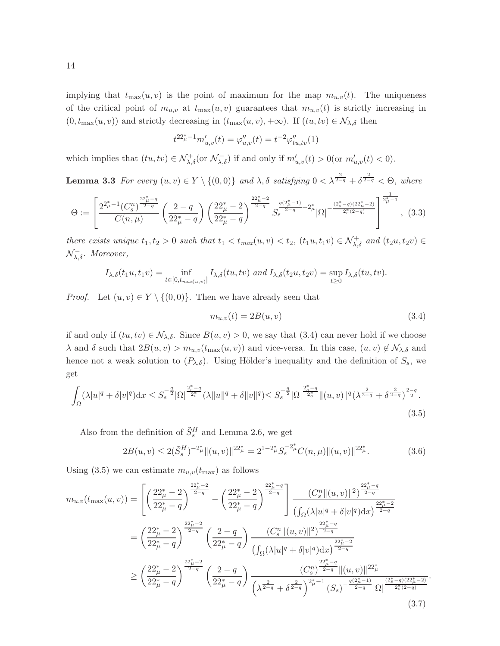implying that  $t_{\max}(u, v)$  is the point of maximum for the map  $m_{u,v}(t)$ . The uniqueness of the critical point of  $m_{u,v}$  at  $t_{\text{max}}(u, v)$  guarantees that  $m_{u,v}(t)$  is strictly increasing in  $(0, t_{\max}(u, v))$  and strictly decreasing in  $(t_{\max}(u, v), +\infty)$ . If  $(tu, tv) \in \mathcal{N}_{\lambda, \delta}$  then

$$
t^{22_{\mu}^* - 1} m'_{u,v}(t) = \varphi''_{u,v}(t) = t^{-2} \varphi''_{tu,tv}(1)
$$

which implies that  $(tu, tv) \in \mathcal{N}_{\lambda, \delta}^+$  (or  $\mathcal{N}_{\lambda, \delta}^-$ ) if and only if  $m'_{u,v}(t) > 0$  (or  $m'_{u,v}(t) < 0$ ).

**Lemma 3.3** For every  $(u, v) \in Y \setminus \{(0, 0)\}\$ and  $\lambda$ ,  $\delta$  satisfying  $0 < \lambda^{\frac{2}{2-q}} + \delta^{\frac{2}{2-q}} < \Theta$ , where

$$
\Theta := \left[ \frac{2^{2_{\mu}^{\ast}-1}(C_{s}^{n})^{\frac{22_{\mu}^{\ast}-q}{2-q}}}{C(n,\mu)} \left(\frac{2-q}{22_{\mu}^{\ast}-q}\right) \left(\frac{22_{\mu}^{\ast}-2}{22_{\mu}^{\ast}-q}\right)^{\frac{22_{\mu}^{\ast}-2}{2-q}} S_{s}^{\frac{q(2_{\mu}^{\ast}-1)}{2-q}+2_{\mu}^{\ast}} |\Omega|^{-\frac{(2_{s}^{\ast}-q)(22_{\mu}^{\ast}-2)}{2_{s}^{\ast}(2-q)}} \right]^{\frac{1}{2_{\mu}^{\ast}-1}}, (3.3)
$$

there exists unique  $t_1, t_2 > 0$  such that  $t_1 < t_{max}(u, v) < t_2$ ,  $(t_1u, t_1v) \in \mathcal{N}_{\lambda, \delta}^+$  and  $(t_2u, t_2v) \in$  $\mathcal{N}_{\lambda,\delta}^-$ . Moreover,

$$
I_{\lambda,\delta}(t_1u,t_1v)=\inf_{t\in[0,t_{max(u,v)}]}I_{\lambda,\delta}(tu,tv) \text{ and } I_{\lambda,\delta}(t_2u,t_2v)=\sup_{t\geq 0}I_{\lambda,\delta}(tu,tv).
$$

*Proof.* Let  $(u, v) \in Y \setminus \{(0, 0)\}.$  Then we have already seen that

$$
m_{u,v}(t) = 2B(u,v) \tag{3.4}
$$

.

if and only if  $(tu, tv) \in \mathcal{N}_{\lambda, \delta}$ . Since  $B(u, v) > 0$ , we say that (3.4) can never hold if we choose  $\lambda$  and  $\delta$  such that  $2B(u, v) > m_{u,v}(t_{\text{max}}(u, v))$  and vice-versa. In this case,  $(u, v) \notin \mathcal{N}_{\lambda, \delta}$  and hence not a weak solution to  $(P_{\lambda,\delta})$ . Using Hölder's inequality and the definition of  $S_s$ , we get

$$
\int_{\Omega} (\lambda |u|^{q} + \delta |v|^{q}) dx \leq S_{s}^{-\frac{q}{2}} |\Omega|^{\frac{2^{*}_{s}-q}{2^{*}_{s}}} (\lambda \|u\|^{q} + \delta \|v\|^{q}) \leq S_{s}^{-\frac{q}{2}} |\Omega|^{\frac{2^{*}_{s}-q}{2^{*}_{s}}} \|(u,v)\|^{q} (\lambda^{\frac{2}{2-q}} + \delta^{\frac{2}{2-q}})^{\frac{2-q}{2}}.
$$
\n
$$
(3.5)
$$

Also from the definition of  $\tilde{S}_{s}^{H}$  and Lemma 2.6, we get

$$
2B(u,v) \le 2(\tilde{S}_s^H)^{-2_{\mu}^*} \|(u,v)\|^{2_{\mu}^*} = 2^{1-2_{\mu}^*} S_s^{-2_{\mu}^*} C(n,\mu) \|(u,v)\|^{2_{\mu}^*}.
$$
 (3.6)

Using (3.5) we can estimate  $m_{u,v}(t_{\text{max}})$  as follows

$$
m_{u,v}(t_{\max}(u,v)) = \left[ \left( \frac{22_{\mu}^{*} - 2}{22_{\mu}^{*} - q} \right)^{\frac{22_{\mu}^{*} - 2}{2 - q}} - \left( \frac{22_{\mu}^{*} - 2}{22_{\mu}^{*} - q} \right)^{\frac{22_{\mu}^{*} - q}{2 - q}} \right] \frac{(C_{s}^{n} ||(u,v)||^{2})^{\frac{22_{\mu}^{*} - q}{2 - q}}}{(\int_{\Omega} (\lambda |u|^{q} + \delta |v|^{q}) dx)^{\frac{22_{\mu}^{*} - 2}{2 - q}}}
$$
  
\n
$$
= \left( \frac{22_{\mu}^{*} - 2}{22_{\mu}^{*} - q} \right)^{\frac{22_{\mu}^{*} - 2}{2 - q}} \left( \frac{2 - q}{22_{\mu}^{*} - q} \right) \frac{(C_{s}^{n} ||(u,v)||^{2})^{\frac{22_{\mu}^{*} - q}{2 - q}}}{(\int_{\Omega} (\lambda |u|^{q} + \delta |v|^{q}) dx)^{\frac{22_{\mu}^{*} - 2}{2 - q}}}
$$
  
\n
$$
\geq \left( \frac{22_{\mu}^{*} - 2}{22_{\mu}^{*} - q} \right)^{\frac{22_{\mu}^{*} - 2}{2 - q}} \left( \frac{2 - q}{22_{\mu}^{*} - q} \right) \frac{(C_{s}^{n})^{\frac{22_{\mu}^{*} - q}{2 - q}} ||(u,v)||^{22_{\mu}^{*}}}{(\lambda^{\frac{2}{2} - q} + \delta^{\frac{2}{2} - q})^{2_{\mu}^{*} - 1} (S_{s})^{-\frac{q(2_{\mu}^{*} - 1)}{2 - q}} |\Omega|^{\frac{(2_{\mu}^{*} - q)}{2_{\mu}^{*} (2 - q)}}}
$$
\n(3.7)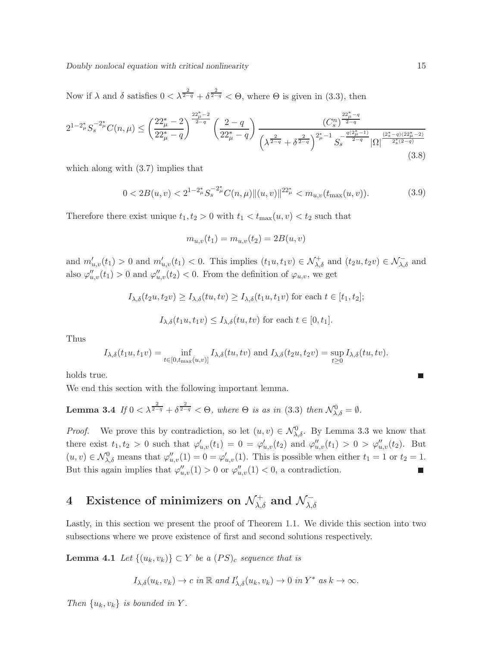Doubly nonlocal equation with critical nonlinearity 15

Now if  $\lambda$  and  $\delta$  satisfies  $0 < \lambda^{\frac{2}{2-q}} + \delta^{\frac{2}{2-q}} < \Theta$ , where  $\Theta$  is given in (3.3), then

$$
2^{1-2_{\mu}^*} S_s^{-2_{\mu}^*} C(n,\mu) \le \left(\frac{22_{\mu}^* - 2}{22_{\mu}^* - q}\right)^{\frac{22_{\mu}^* - 2}{2-q}} \left(\frac{2 - q}{22_{\mu}^* - q}\right) \frac{(C_s^n)^{\frac{22_{\mu}^* - q}{2-q}}}{\left(\lambda^{\frac{2}{2-q}} + \delta^{\frac{2}{2-q}}\right)^{2_{\mu}^* - 1} S_s^{-\frac{q(2_{\mu}^* - 1)}{2-q}} |\Omega|^{\frac{(2_s^* - q)(22_{\mu}^* - 2)}{2_s^* (2-q)}}}
$$
(3.8)

which along with  $(3.7)$  implies that

$$
0 < 2B(u, v) < 2^{1-2_{\mu}^*} S_s^{-2_{\mu}^*} C(n, \mu) \| (u, v) \|^{22_{\mu}^*} < m_{u, v}(t_{\max}(u, v)). \tag{3.9}
$$

Therefore there exist unique  $t_1, t_2 > 0$  with  $t_1 < t_{\max}(u, v) < t_2$  such that

$$
m_{u,v}(t_1) = m_{u,v}(t_2) = 2B(u,v)
$$

and  $m'_{u,v}(t_1) > 0$  and  $m'_{u,v}(t_1) < 0$ . This implies  $(t_1u, t_1v) \in \mathcal{N}_{\lambda,\delta}^+$  and  $(t_2u, t_2v) \in \mathcal{N}_{\lambda,\delta}^-$  and also  $\varphi''_{u,v}(t_1) > 0$  and  $\varphi''_{u,v}(t_2) < 0$ . From the definition of  $\varphi_{u,v}$ , we get

$$
I_{\lambda,\delta}(t_2u, t_2v) \ge I_{\lambda,\delta}(tu, tv) \ge I_{\lambda,\delta}(t_1u, t_1v) \text{ for each } t \in [t_1, t_2];
$$
  

$$
I_{\lambda,\delta}(t_1u, t_1v) \le I_{\lambda,\delta}(tu, tv) \text{ for each } t \in [0, t_1].
$$

Thus

$$
I_{\lambda,\delta}(t_1u,t_1v)=\inf_{t\in[0,t_{\max}(u,v)]}I_{\lambda,\delta}(tu,tv)\text{ and }I_{\lambda,\delta}(t_2u,t_2v)=\sup_{t\geq 0}I_{\lambda,\delta}(tu,tv).
$$

holds true.

We end this section with the following important lemma.

**Lemma 3.4** If  $0 < \lambda^{\frac{2}{2-q}} + \delta^{\frac{2}{2-q}} < \Theta$ , where  $\Theta$  is as in (3.3) then  $\mathcal{N}_{\lambda,\delta}^0 = \emptyset$ .

*Proof.* We prove this by contradiction, so let  $(u, v) \in \mathcal{N}_{\lambda, \delta}^0$ . By Lemma 3.3 we know that there exist  $t_1, t_2 > 0$  such that  $\varphi'_{u,v}(t_1) = 0 = \varphi'_{u,v}(t_2)$  and  $\varphi''_{u,v}(t_1) > 0 > \varphi''_{u,v}(t_2)$ . But  $(u, v) \in \mathcal{N}_{\lambda, \delta}^0$  means that  $\varphi''_{u,v}(1) = 0 = \varphi'_{u,v}(1)$ . This is possible when either  $t_1 = 1$  or  $t_2 = 1$ . But this again implies that  $\varphi''_{u,v}(1) > 0$  or  $\varphi''_{u,v}(1) < 0$ , a contradiction.

# $4$  Existence of minimizers on  $\mathcal{N}_{\lambda,\delta}^+$  and  $\mathcal{N}_{\lambda,\delta}^-$

Lastly, in this section we present the proof of Theorem 1.1. We divide this section into two subsections where we prove existence of first and second solutions respectively.

**Lemma 4.1** Let  $\{(u_k, v_k)\}\subset Y$  be a  $(PS)_c$  sequence that is

$$
I_{\lambda,\delta}(u_k, v_k) \to c \text{ in } \mathbb{R} \text{ and } I'_{\lambda,\delta}(u_k, v_k) \to 0 \text{ in } Y^* \text{ as } k \to \infty.
$$

Then  $\{u_k, v_k\}$  is bounded in Y.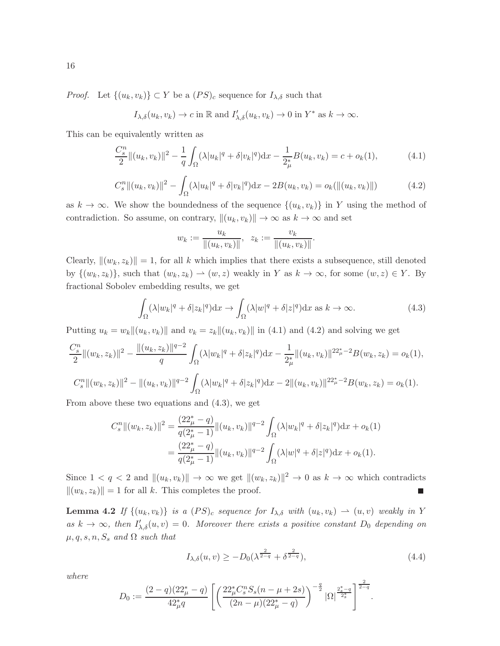*Proof.* Let  $\{(u_k, v_k)\}\subset Y$  be a  $(PS)_c$  sequence for  $I_{\lambda,\delta}$  such that

$$
I_{\lambda,\delta}(u_k, v_k) \to c
$$
 in  $\mathbb{R}$  and  $I'_{\lambda,\delta}(u_k, v_k) \to 0$  in  $Y^*$  as  $k \to \infty$ .

This can be equivalently written as

$$
\frac{C_s^n}{2} ||(u_k, v_k)||^2 - \frac{1}{q} \int_{\Omega} (\lambda |u_k|^q + \delta |v_k|^q) dx - \frac{1}{2_\mu^*} B(u_k, v_k) = c + o_k(1),\tag{4.1}
$$

$$
C_s^n \|(u_k, v_k)\|^2 - \int_{\Omega} (\lambda |u_k|^q + \delta |v_k|^q) dx - 2B(u_k, v_k) = o_k(\|(u_k, v_k)\|)
$$
(4.2)

as  $k \to \infty$ . We show the boundedness of the sequence  $\{(u_k, v_k)\}\$ in Y using the method of contradiction. So assume, on contrary,  $\|(u_k, v_k)\| \to \infty$  as  $k \to \infty$  and set

$$
w_k := \frac{u_k}{\|(u_k, v_k)\|}, \ \ z_k := \frac{v_k}{\|(u_k, v_k)\|}.
$$

Clearly,  $\|(w_k, z_k)\|=1$ , for all k which implies that there exists a subsequence, still denoted by  $\{(w_k, z_k)\}\$ , such that  $(w_k, z_k) \rightharpoonup (w, z)$  weakly in Y as  $k \to \infty$ , for some  $(w, z) \in Y$ . By fractional Sobolev embedding results, we get

$$
\int_{\Omega} (\lambda |w_k|^q + \delta |z_k|^q) dx \to \int_{\Omega} (\lambda |w|^q + \delta |z|^q) dx \text{ as } k \to \infty.
$$
 (4.3)

Putting  $u_k = w_k ||(u_k, v_k)||$  and  $v_k = z_k ||(u_k, v_k)||$  in (4.1) and (4.2) and solving we get

$$
\frac{C_s^n}{2}||(w_k, z_k)||^2 - \frac{||(u_k, z_k)||^{q-2}}{q} \int_{\Omega} (\lambda |w_k|^q + \delta |z_k|^q) dx - \frac{1}{2_{\mu}^*}||(u_k, v_k)||^{2_{\mu}^* - 2} B(w_k, z_k) = o_k(1),
$$
  

$$
C_s^n||(w_k, z_k)||^2 - ||(u_k, v_k)||^{q-2} \int_{\Omega} (\lambda |w_k|^q + \delta |z_k|^q) dx - 2||(u_k, v_k)||^{2_{\mu}^* - 2} B(w_k, z_k) = o_k(1).
$$

From above these two equations and (4.3), we get

$$
C_s^n \|(w_k, z_k)\|^2 = \frac{(22_{\mu}^* - q)}{q(2_{\mu}^* - 1)} \|(u_k, v_k)\|^{q-2} \int_{\Omega} (\lambda |w_k|^q + \delta |z_k|^q) dx + o_k(1)
$$
  
= 
$$
\frac{(22_{\mu}^* - q)}{q(2_{\mu}^* - 1)} \|(u_k, v_k)\|^{q-2} \int_{\Omega} (\lambda |w|^q + \delta |z|^q) dx + o_k(1).
$$

Since  $1 < q < 2$  and  $\|(u_k, v_k)\| \to \infty$  we get  $\|(w_k, z_k)\|^2 \to 0$  as  $k \to \infty$  which contradicts  $||(w_k, z_k)|| = 1$  for all k. This completes the proof.

**Lemma 4.2** If  $\{(u_k, v_k)\}\$ is a  $(PS)_c$  sequence for  $I_{\lambda, \delta}$  with  $(u_k, v_k) \rightharpoonup (u, v)$  weakly in Y as  $k \to \infty$ , then  $I'_{\lambda,\delta}(u,v) = 0$ . Moreover there exists a positive constant  $D_0$  depending on  $\mu, q, s, n, S_s$  and  $\Omega$  such that

$$
I_{\lambda,\delta}(u,v) \ge -D_0(\lambda^{\frac{2}{2-q}} + \delta^{\frac{2}{2-q}}),\tag{4.4}
$$

where

$$
D_0 := \frac{(2-q)(22_{\mu}^* - q)}{42_{\mu}^* q} \left[ \left( \frac{22_{\mu}^* C_s^n S_s (n - \mu + 2s)}{(2n - \mu)(22_{\mu}^* - q)} \right)^{-\frac{q}{2}} |\Omega|^{\frac{2_s^* - q}{2_s^*}} \right]^{\frac{2}{2-q}}.
$$

16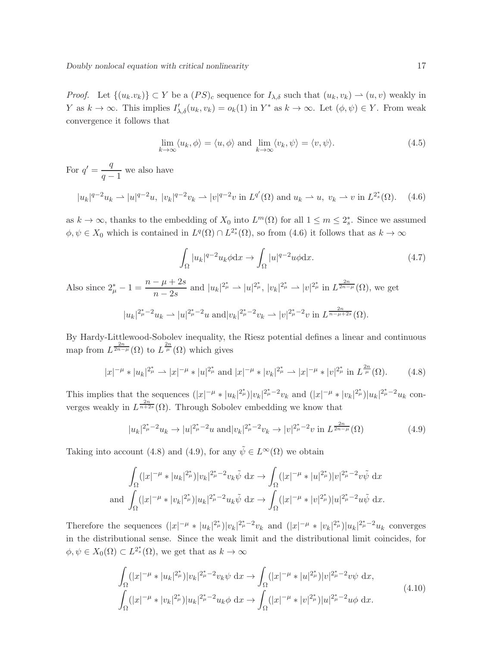*Proof.* Let  $\{(u_k,v_k)\}\subset Y$  be a  $(PS)_c$  sequence for  $I_{\lambda,\delta}$  such that  $(u_k,v_k)\to (u,v)$  weakly in Y as  $k \to \infty$ . This implies  $I'_{\lambda,\delta}(u_k, v_k) = o_k(1)$  in  $Y^*$  as  $k \to \infty$ . Let  $(\phi, \psi) \in Y$ . From weak convergence it follows that

$$
\lim_{k \to \infty} \langle u_k, \phi \rangle = \langle u, \phi \rangle \text{ and } \lim_{k \to \infty} \langle v_k, \psi \rangle = \langle v, \psi \rangle. \tag{4.5}
$$

For  $q' = \frac{q}{q}$  $\frac{q}{q-1}$  we also have

$$
|u_k|^{q-2}u_k \rightharpoonup |u|^{q-2}u, \ |v_k|^{q-2}v_k \rightharpoonup |v|^{q-2}v \text{ in } L^{q'}(\Omega) \text{ and } u_k \rightharpoonup u, \ v_k \rightharpoonup v \text{ in } L^{2^*_s}(\Omega). \tag{4.6}
$$

as  $k \to \infty$ , thanks to the embedding of  $X_0$  into  $L^m(\Omega)$  for all  $1 \leq m \leq 2_s^*$ . Since we assumed  $\phi, \psi \in X_0$  which is contained in  $L^q(\Omega) \cap L^{2^*_s}(\Omega)$ , so from (4.6) it follows that as  $k \to \infty$ 

$$
\int_{\Omega} |u_k|^{q-2} u_k \phi \mathrm{d}x \to \int_{\Omega} |u|^{q-2} u \phi \mathrm{d}x. \tag{4.7}
$$

Also since  $2_{\mu}^{*} - 1 = \frac{n - \mu + 2s}{n-2s}$  $\frac{-\mu+2s}{n-2s}$  and  $|u_k|^{2^*_{\mu}} \rightharpoonup |u|^{2^*_{\mu}}, |v_k|^{2^*_{\mu}} \rightharpoonup |v|^{2^*_{\mu}}$  in  $L^{\frac{2n}{2n-\mu}}(\Omega)$ , we get  $|u_k|^{2_\mu^* - 2} u_k \rightharpoonup |u|^{2_\mu^* - 2} u \text{ and } |v_k|^{2_\mu^* - 2} v_k \rightharpoonup |v|^{2_\mu^* - 2} v \text{ in } L^{\frac{2n}{n - \mu + 2s}}(\Omega).$ 

By Hardy-Littlewood-Sobolev inequality, the Riesz potential defines a linear and continuous map from  $L^{\frac{2n}{2n-\mu}}(\Omega)$  to  $L^{\frac{2n}{\mu}}(\Omega)$  which gives

$$
|x|^{-\mu} * |u_k|^{2^*_{\mu}} \rightharpoonup |x|^{-\mu} * |u|^{2^*_{\mu}} \text{ and } |x|^{-\mu} * |v_k|^{2^*_{\mu}} \rightharpoonup |x|^{-\mu} * |v|^{2^*_{\mu}} \text{ in } L^{\frac{2n}{\mu}}(\Omega). \tag{4.8}
$$

This implies that the sequences  $(|x|^{-\mu} * |u_k|^{2\mu} )|v_k|^{2\mu}^{-2}v_k$  and  $(|x|^{-\mu} * |v_k|^{2\mu} )|u_k|^{2\mu}^{-2}u_k$  converges weakly in  $L^{\frac{2n}{n+2s}}(\Omega)$ . Through Sobolev embedding we know that

$$
|u_k|^{2_{\mu}^{\ast}-2}u_k \to |u|^{2_{\mu}^{\ast}-2}u \text{ and } |v_k|^{2_{\mu}^{\ast}-2}v_k \to |v|^{2_{\mu}^{\ast}-2}v \text{ in } L^{\frac{2n}{2n-\mu}}(\Omega)
$$
 (4.9)

Taking into account (4.8) and (4.9), for any  $\tilde{\psi} \in L^{\infty}(\Omega)$  we obtain

$$
\int_{\Omega} (|x|^{-\mu} * |u_k|^{2\mu}) |v_k|^{2\mu - 2} v_k \tilde{\psi} dx \to \int_{\Omega} (|x|^{-\mu} * |u|^{2\mu}) |v|^{2\mu - 2} v \tilde{\psi} dx
$$
  
and 
$$
\int_{\Omega} (|x|^{-\mu} * |v_k|^{2\mu}) |u_k|^{2\mu - 2} u_k \tilde{\psi} dx \to \int_{\Omega} (|x|^{-\mu} * |v|^{2\mu}) |u|^{2\mu - 2} u \tilde{\psi} dx.
$$

Therefore the sequences  $(|x|^{-\mu} * |u_k|^{2\mu}_{\mu})|v_k|^{2\mu-2}v_k$  and  $(|x|^{-\mu} * |v_k|^{2\mu}_{\mu})|u_k|^{2\mu-2}u_k$  converges in the distributional sense. Since the weak limit and the distributional limit coincides, for  $\phi, \psi \in X_0(\Omega) \subset L^{2^*_s}(\Omega)$ , we get that as  $k \to \infty$ 

$$
\int_{\Omega} (|x|^{-\mu} * |u_k|^{2\mu}) |v_k|^{2\mu - 2} v_k \psi \, dx \to \int_{\Omega} (|x|^{-\mu} * |u|^{2\mu}) |v|^{2\mu - 2} v \psi \, dx,
$$
\n
$$
\int_{\Omega} (|x|^{-\mu} * |v_k|^{2\mu}) |u_k|^{2\mu - 2} u_k \phi \, dx \to \int_{\Omega} (|x|^{-\mu} * |v|^{2\mu}) |u|^{2\mu - 2} u \phi \, dx.
$$
\n(4.10)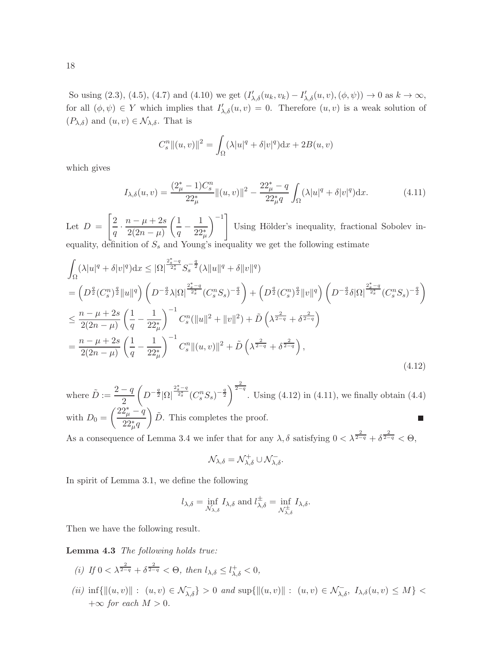So using (2.3), (4.5), (4.7) and (4.10) we get  $(I'_{\lambda,\delta}(u_k,v_k) - I'_{\lambda,\delta}(u,v),(\phi,\psi)) \to 0$  as  $k \to \infty$ , for all  $(\phi, \psi) \in Y$  which implies that  $I'_{\lambda, \delta}(u, v) = 0$ . Therefore  $(u, v)$  is a weak solution of  $(P_{\lambda,\delta})$  and  $(u, v) \in \mathcal{N}_{\lambda,\delta}$ . That is

$$
C_s^n \|(u, v)\|^2 = \int_{\Omega} (\lambda |u|^q + \delta |v|^q) \mathrm{d}x + 2B(u, v)
$$

which gives

$$
I_{\lambda,\delta}(u,v) = \frac{(2_{\mu}^{*}-1)C_{s}^{n}}{22_{\mu}^{*}} \|(u,v)\|^{2} - \frac{22_{\mu}^{*}-q}{22_{\mu}^{*}q} \int_{\Omega} (\lambda |u|^{q} + \delta |v|^{q}) dx.
$$
 (4.11)

Let  $D =$  $\lceil 2 \rceil$  $\frac{2}{q} \cdot \frac{n - \mu + 2s}{2(2n - \mu)}$  $2(2n - \mu)$  $\sqrt{1}$  $\frac{1}{q} - \frac{1}{22}$  $22^*_{\mu}$  $\setminus$ <sup>-1</sup> Using Hölder's inequality, fractional Sobolev inequality, definition of  $S_s$  and Young's inequality we get the following estimate

$$
\int_{\Omega} (\lambda |u|^{q} + \delta |v|^{q}) dx \leq |\Omega|^{\frac{2^{*}_{s}-q}{2^{*}_{s}}} S_{s}^{-\frac{q}{2}}(\lambda \|u\|^{q} + \delta \|v\|^{q})
$$
\n
$$
= \left( D^{\frac{q}{2}}(C_{s}^{n})^{\frac{q}{2}} \|u\|^{q} \right) \left( D^{-\frac{q}{2}} \lambda |\Omega|^{\frac{2^{*}_{s}-q}{2^{*}_{s}}} (C_{s}^{n} S_{s})^{-\frac{q}{2}} \right) + \left( D^{\frac{q}{2}}(C_{s}^{n})^{\frac{q}{2}} \|v\|^{q} \right) \left( D^{-\frac{q}{2}} \delta |\Omega|^{\frac{2^{*}_{s}-q}{2^{*}_{s}}} (C_{s}^{n} S_{s})^{-\frac{q}{2}} \right)
$$
\n
$$
\leq \frac{n-\mu+2s}{2(2n-\mu)} \left( \frac{1}{q} - \frac{1}{22^{*}_{\mu}} \right)^{-1} C_{s}^{n} (\|u\|^{2} + \|v\|^{2}) + \tilde{D} \left( \lambda^{\frac{2}{2-q}} + \delta^{\frac{2}{2-q}} \right)
$$
\n
$$
= \frac{n-\mu+2s}{2(2n-\mu)} \left( \frac{1}{q} - \frac{1}{22^{*}_{\mu}} \right)^{-1} C_{s}^{n} \|(u,v)\|^{2} + \tilde{D} \left( \lambda^{\frac{2}{2-q}} + \delta^{\frac{2}{2-q}} \right), \tag{4.12}
$$

where  $\tilde{D} := \frac{2-q}{2}$ 2  $\left(D^{-\frac{q}{2}}|\Omega|^{\frac{2^*_s-q}{2^*_s}}(C_s^nS_s)^{-\frac{q}{2}}\right)^{\frac{2}{2-q}}$ . Using (4.12) in (4.11), we finally obtain (4.4) with  $D_0 = \left(\frac{22^*_{\mu} - q}{22^*_{\mu} - q}\right)$  $22^*_{\mu}q$  $\hat{D}$ . This completes the proof.

As a consequence of Lemma 3.4 we infer that for any  $\lambda$ ,  $\delta$  satisfying  $0 < \lambda^{\frac{2}{2-q}} + \delta^{\frac{2}{2-q}} < \Theta$ ,

$$
\mathcal{N}_{\lambda,\delta} = \mathcal{N}_{\lambda,\delta}^+ \cup \mathcal{N}_{\lambda,\delta}^-.
$$

In spirit of Lemma 3.1, we define the following

$$
l_{\lambda,\delta} = \inf_{\mathcal{N}_{\lambda,\delta}} I_{\lambda,\delta}
$$
 and  $l_{\lambda,\delta}^{\pm} = \inf_{\mathcal{N}_{\lambda,\delta}^{\pm}} I_{\lambda,\delta}$ .

Then we have the following result.

Lemma 4.3 The following holds true:

- (i) If  $0 < \lambda^{\frac{2}{2-q}} + \delta^{\frac{2}{2-q}} < \Theta$ , then  $l_{\lambda,\delta} \leq l_{\lambda,\delta}^+ < 0$ ,
- $(ii)\,\,\inf\{\|(u,v)\|:\,\, (u,v)\in \mathcal{N}_{\lambda,\delta}^{-}\}\,>\,0\ \, and\,\, \sup\{\|(u,v)\|:\,\, (u,v)\in \mathcal{N}_{\lambda,\delta}^{-},\,\, I_{\lambda,\delta}(u,v)\leq M\}<\,$  $+\infty$  for each  $M > 0$ .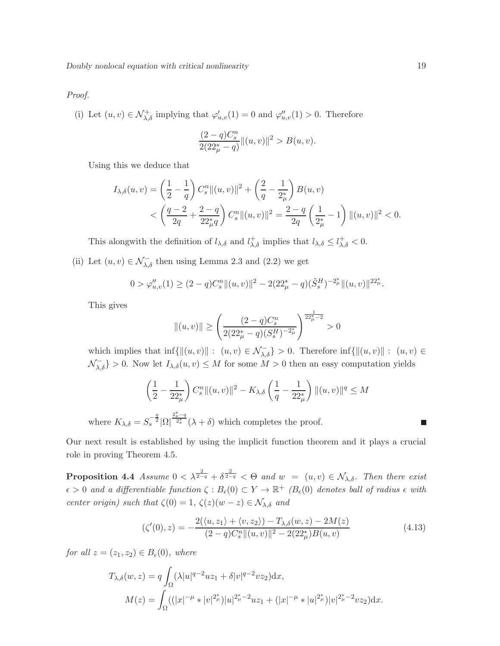Proof.

(i) Let  $(u, v) \in \mathcal{N}_{\lambda, \delta}^+$  implying that  $\varphi'_{u,v}(1) = 0$  and  $\varphi''_{u,v}(1) > 0$ . Therefore

$$
\frac{(2-q)C_s^n}{2(22_\mu^*-q)}\|(u,v)\|^2 > B(u,v).
$$

Using this we deduce that

$$
I_{\lambda,\delta}(u,v) = \left(\frac{1}{2} - \frac{1}{q}\right) C_s^{n} \|(u,v)\|^2 + \left(\frac{2}{q} - \frac{1}{2_{\mu}^*}\right) B(u,v)
$$
  

$$
< \left(\frac{q-2}{2q} + \frac{2-q}{22_{\mu}^*q}\right) C_s^{n} \|(u,v)\|^2 = \frac{2-q}{2q} \left(\frac{1}{2_{\mu}^*} - 1\right) \|(u,v)\|^2 < 0.
$$

This alongwith the definition of  $l_{\lambda,\delta}$  and  $l_{\lambda,\delta}^+$  implies that  $l_{\lambda,\delta} \leq l_{\lambda,\delta}^+ < 0$ .

(ii) Let  $(u, v) \in \mathcal{N}_{\lambda, \delta}^-$  then using Lemma 2.3 and (2.2) we get

$$
0 > \varphi''_{u,v}(1) \ge (2-q)C_s^{\eta} \|(u,v)\|^2 - 2(22^*_{\mu} - q)(\tilde{S}_s^H)^{-2^*_{\mu}} \|(u,v)\|^{22^*_{\mu}}.
$$

This gives

$$
||(u,v)|| \ge \left(\frac{(2-q)C_s^n}{2(22_\mu^* - q)(S_s^H)^{-2_\mu^*}}\right)^{\frac{1}{22_\mu^*-2}} > 0
$$

which implies that  $\inf\{\|(u,v)\| : (u,v) \in \mathcal{N}_{\lambda,\delta}^- \} > 0$ . Therefore  $\inf\{\|(u,v)\| : (u,v) \in \mathcal{N}_{\lambda,\delta}^- \}$  $\{\mathcal{N}_{\lambda,\delta}^-\} > 0$ . Now let  $I_{\lambda,\delta}(u,v) \leq M$  for some  $M > 0$  then an easy computation yields

$$
\left(\frac{1}{2} - \frac{1}{22\mu}\right) C_s^n ||(u, v)||^2 - K_{\lambda, \delta} \left(\frac{1}{q} - \frac{1}{22\mu}\right) ||(u, v)||^q \le M
$$

where  $K_{\lambda,\delta} = S_s^{-\frac{q}{2}} |\Omega|^{\frac{2_s^*-q}{2_s^*}} (\lambda + \delta)$  which completes the proof.

Our next result is established by using the implicit function theorem and it plays a crucial role in proving Theorem 4.5.

**Proposition 4.4** Assume  $0 < \lambda^{\frac{2}{2-q}} + \delta^{\frac{2}{2-q}} < \Theta$  and  $w = (u, v) \in \mathcal{N}_{\lambda, \delta}$ . Then there exist  $\epsilon > 0$  and a differentiable function  $\zeta : B_{\epsilon}(0) \subset Y \to \mathbb{R}^+$  ( $B_{\epsilon}(0)$  denotes ball of radius  $\epsilon$  with center origin) such that  $\zeta(0) = 1$ ,  $\zeta(z)(w - z) \in \mathcal{N}_{\lambda,\delta}$  and

$$
(\zeta'(0), z) = -\frac{2(\langle u, z_1 \rangle + \langle v, z_2 \rangle) - T_{\lambda, \delta}(w, z) - 2M(z)}{(2 - q)C_s^{\eta} ||(u, v)||^2 - 2(22_\mu^*) B(u, v)}
$$
(4.13)

for all  $z = (z_1, z_2) \in B_{\epsilon}(0)$ , where

$$
T_{\lambda,\delta}(w,z) = q \int_{\Omega} (\lambda |u|^{q-2} u z_1 + \delta |v|^{q-2} v z_2) dx,
$$
  

$$
M(z) = \int_{\Omega} ((|x|^{-\mu} * |v|^{2\mu}) |u|^{2\mu-\mu} u z_1 + (|x|^{-\mu} * |u|^{2\mu}) |v|^{2\mu-\mu} v z_2) dx.
$$

 $\Box$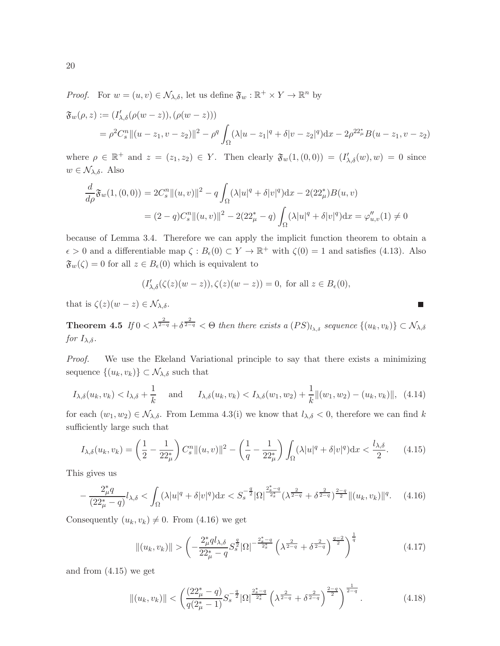*Proof.* For  $w = (u, v) \in \mathcal{N}_{\lambda, \delta}$ , let us define  $\mathfrak{F}_w : \mathbb{R}^+ \times Y \to \mathbb{R}^n$  by

$$
\mathfrak{F}_w(\rho, z) := (I'_{\lambda, \delta}(\rho(w - z)), (\rho(w - z)))
$$
  
=  $\rho^2 C_s^n ||(u - z_1, v - z_2)||^2 - \rho^q \int_{\Omega} (\lambda |u - z_1|^q + \delta |v - z_2|^q) dx - 2\rho^{22\mu} B(u - z_1, v - z_2)$ 

where  $\rho \in \mathbb{R}^+$  and  $z = (z_1, z_2) \in Y$ . Then clearly  $\mathfrak{F}_w(1, (0, 0)) = (I'_{\lambda, \delta}(w), w) = 0$  since  $w \in \mathcal{N}_{\lambda,\delta}$ . Also

$$
\frac{d}{d\rho}\mathfrak{F}_w(1,(0,0)) = 2C_s^n \|(u,v)\|^2 - q \int_{\Omega} (\lambda |u|^q + \delta |v|^q) dx - 2(22^*_{\mu})B(u,v)
$$

$$
= (2-q)C_s^n \|(u,v)\|^2 - 2(22^*_{\mu} - q) \int_{\Omega} (\lambda |u|^q + \delta |v|^q) dx = \varphi_{u,v}''(1) \neq 0
$$

because of Lemma 3.4. Therefore we can apply the implicit function theorem to obtain a  $\epsilon > 0$  and a differentiable map  $\zeta : B_{\epsilon}(0) \subset Y \to \mathbb{R}^+$  with  $\zeta(0) = 1$  and satisfies (4.13). Also  $\mathfrak{F}_w(\zeta) = 0$  for all  $z \in B_{\epsilon}(0)$  which is equivalent to

$$
(I'_{\lambda,\delta}(\zeta(z)(w-z)),\zeta(z)(w-z))=0, \text{ for all } z\in B_{\epsilon}(0),
$$

 $\mathcal{L}_{\mathcal{A}}$ 

that is  $\zeta(z)(w-z) \in \mathcal{N}_{\lambda,\delta}$ .

**Theorem 4.5** If  $0 < \lambda^{\frac{2}{2-q}} + \delta^{\frac{2}{2-q}} < \Theta$  then there exists a  $(PS)_{l_{\lambda,\delta}}$  sequence  $\{(u_k, v_k)\} \subset \mathcal{N}_{\lambda,\delta}$ for  $I_{\lambda,\delta}$ .

Proof. We use the Ekeland Variational principle to say that there exists a minimizing sequence  $\{(u_k, v_k)\}\subset \mathcal{N}_{\lambda,\delta}$  such that

$$
I_{\lambda,\delta}(u_k, v_k) < l_{\lambda,\delta} + \frac{1}{k} \quad \text{and} \quad I_{\lambda,\delta}(u_k, v_k) < I_{\lambda,\delta}(w_1, w_2) + \frac{1}{k} \|(w_1, w_2) - (u_k, v_k)\|, \tag{4.14}
$$

for each  $(w_1, w_2) \in \mathcal{N}_{\lambda, \delta}$ . From Lemma 4.3(i) we know that  $l_{\lambda, \delta} < 0$ , therefore we can find k sufficiently large such that

$$
I_{\lambda,\delta}(u_k, v_k) = \left(\frac{1}{2} - \frac{1}{22_{\mu}^*}\right) C_s^n \| (u, v) \|^2 - \left(\frac{1}{q} - \frac{1}{22_{\mu}^*}\right) \int_{\Omega} (\lambda |u|^q + \delta |v|^q) dx < \frac{l_{\lambda,\delta}}{2}.\tag{4.15}
$$

This gives us

$$
-\frac{2_{\mu}^{*}q}{(22_{\mu}^{*}-q)}l_{\lambda,\delta} < \int_{\Omega} (\lambda|u|^{q} + \delta|v|^{q}) dx < S_{s}^{-\frac{q}{2}} |\Omega|^{\frac{2_{s}^{*}-q}{2_{s}^{*}}} (\lambda^{\frac{2}{2-q}} + \delta^{\frac{2}{2-q}})^{\frac{2-q}{2}} \| (u_{k}, v_{k}) \|^{q}.
$$
 (4.16)

Consequently  $(u_k, v_k) \neq 0$ . From (4.16) we get

$$
\|(u_k, v_k)\| > \left( -\frac{2_{\mu}^* q l_{\lambda, \delta}}{22_{\mu}^* - q} S_s^{\frac{q}{2}} |\Omega|^{-\frac{2_s^* - q}{2_s^*}} \left( \lambda^{\frac{2}{2-q}} + \delta^{\frac{2}{2-q}} \right)^{\frac{q-2}{2}} \right)^{\frac{1}{q}} \tag{4.17}
$$

and from (4.15) we get

$$
\|(u_k, v_k)\| < \left(\frac{(22_{\mu}^* - q)}{q(2_{\mu}^* - 1)} S_s^{-\frac{q}{2}} |\Omega|^{\frac{2_s^* - q}{2_s^*}} \left(\lambda^{\frac{2}{2-q}} + \delta^{\frac{2}{2-q}}\right)^{\frac{2-q}{2}}\right)^{\frac{1}{2-q}}.
$$
\n(4.18)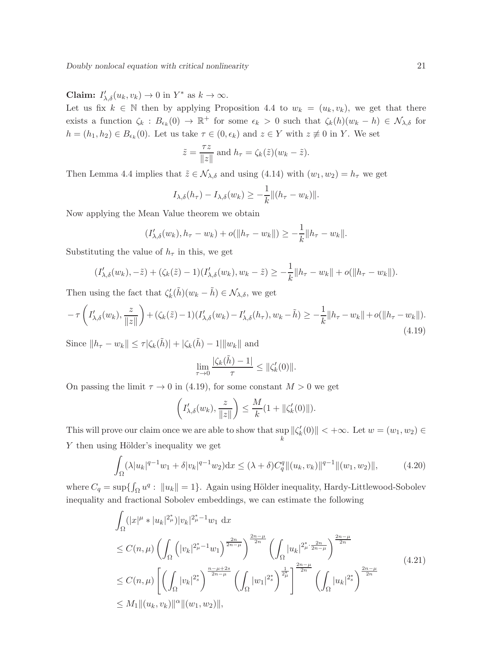**Claim:**  $I'_{\lambda,\delta}(u_k, v_k) \to 0$  in  $Y^*$  as  $k \to \infty$ .

Let us fix  $k \in \mathbb{N}$  then by applying Proposition 4.4 to  $w_k = (u_k, v_k)$ , we get that there exists a function  $\zeta_k : B_{\epsilon_k}(0) \to \mathbb{R}^+$  for some  $\epsilon_k > 0$  such that  $\zeta_k(h)(w_k - h) \in \mathcal{N}_{\lambda,\delta}$  for  $h = (h_1, h_2) \in B_{\epsilon_k}(0)$ . Let us take  $\tau \in (0, \epsilon_k)$  and  $z \in Y$  with  $z \not\equiv 0$  in Y. We set

$$
\tilde{z} = \frac{\tau z}{\|z\|}
$$
 and  $h_{\tau} = \zeta_k(\tilde{z})(w_k - \tilde{z}).$ 

Then Lemma 4.4 implies that  $\tilde{z} \in \mathcal{N}_{\lambda,\delta}$  and using (4.14) with  $(w_1, w_2) = h_\tau$  we get

$$
I_{\lambda,\delta}(h_{\tau}) - I_{\lambda,\delta}(w_k) \geq -\frac{1}{k} ||(h_{\tau} - w_k)||.
$$

Now applying the Mean Value theorem we obtain

$$
(I'_{\lambda,\delta}(w_k), h_{\tau} - w_k) + o(||h_{\tau} - w_k||) \geq -\frac{1}{k} ||h_{\tau} - w_k||.
$$

Substituting the value of  $h_{\tau}$  in this, we get

$$
(I'_{\lambda,\delta}(w_k), -\tilde{z}) + (\zeta_k(\tilde{z}) - 1)(I'_{\lambda,\delta}(w_k), w_k - \tilde{z}) \ge -\frac{1}{k} ||h_{\tau} - w_k|| + o(||h_{\tau} - w_k||).
$$

Then using the fact that  $\zeta_k'(\tilde{h})(w_k - \tilde{h}) \in \mathcal{N}_{\lambda,\delta}$ , we get

$$
-\tau\left(I'_{\lambda,\delta}(w_k),\frac{z}{\|z\|}\right)+(\zeta_k(\tilde{z})-1)(I'_{\lambda,\delta}(w_k)-I'_{\lambda,\delta}(h_{\tau}),w_k-\tilde{h})\geq -\frac{1}{k}\|h_{\tau}-w_k\|+o(\|h_{\tau}-w_k\|).
$$
\n(4.19)

Since  $||h_\tau - w_k|| \leq \tau |\zeta_k(\tilde{h})| + |\zeta_k(\tilde{h}) - 1| ||w_k||$  and

$$
\lim_{\tau \to 0} \frac{|\zeta_k(\tilde{h}) - 1|}{\tau} \le ||\zeta'_k(0)||.
$$

On passing the limit  $\tau \to 0$  in (4.19), for some constant  $M > 0$  we get

$$
\left(I'_{\lambda,\delta}(w_k),\frac{z}{\|z\|}\right)\leq \frac{M}{k}(1+\|\zeta_k'(0)\|).
$$

This will prove our claim once we are able to show that sup k  $\|\zeta_k'(0)\| < +\infty$ . Let  $w = (w_1, w_2) \in$  $Y$  then using Hölder's inequality we get

$$
\int_{\Omega} (\lambda |u_k|^{q-1} w_1 + \delta |v_k|^{q-1} w_2) dx \leq (\lambda + \delta) C_q^q \|(u_k, v_k)\|^{q-1} \|(w_1, w_2)\|,
$$
\n(4.20)

where  $C_q = \sup\{\int_{\Omega} u^q : ||u_k|| = 1\}$ . Again using Hölder inequality, Hardy-Littlewood-Sobolev inequality and fractional Sobolev embeddings, we can estimate the following

$$
\int_{\Omega} (|x|^{\mu} * |u_k|^{2\mu}) |v_k|^{2\mu-1} w_1 dx
$$
\n
$$
\leq C(n,\mu) \left( \int_{\Omega} (|v_k|^{2\mu-1} w_1)^{\frac{2n}{2n-\mu}} \right)^{\frac{2n-\mu}{2n}} \left( \int_{\Omega} |u_k|^{2\mu-\frac{2n}{2n-\mu}} \right)^{\frac{2n-\mu}{2n}}
$$
\n
$$
\leq C(n,\mu) \left[ \left( \int_{\Omega} |v_k|^{2\mu} \right)^{\frac{n-\mu+2s}{2n-\mu}} \left( \int_{\Omega} |w_1|^{2\mu} \right)^{\frac{1}{2\mu}} \right]^{\frac{2n-\mu}{2n}} \left( \int_{\Omega} |u_k|^{2\mu} \right)^{\frac{2n-\mu}{2n}} \right] \leq M_1 ||(u_k, v_k)||^{\alpha} ||(w_1, w_2)||,
$$
\n
$$
(4.21)
$$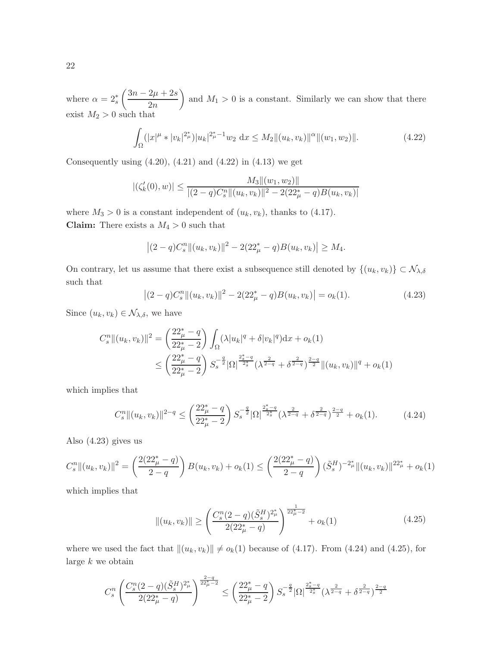where  $\alpha = 2_s^*$  $\int 3n - 2\mu + 2s$  $2n$ ) and  $M_1 > 0$  is a constant. Similarly we can show that there exist  $M_2 > 0$  such that

$$
\int_{\Omega} (|x|^{\mu} * |v_k|^{2\mu}) |u_k|^{2\mu - 1} w_2 \, dx \le M_2 \| (u_k, v_k) \|^\alpha \| (w_1, w_2) \|.
$$
\n(4.22)

Consequently using  $(4.20)$ ,  $(4.21)$  and  $(4.22)$  in  $(4.13)$  we get

$$
|(\zeta'_k(0), w)| \le \frac{M_3 ||(w_1, w_2)||}{|(2-q)C_s^n ||(u_k, v_k)||^2 - 2(22^*_\mu - q)B(u_k, v_k)|}
$$

where  $M_3 > 0$  is a constant independent of  $(u_k, v_k)$ , thanks to (4.17). **Claim:** There exists a  $M_4 > 0$  such that

$$
|(2-q)C_s^{\{n\}}|(u_k, v_k)||^2 - 2(22_\mu^* - q)B(u_k, v_k)| \ge M_4.
$$

On contrary, let us assume that there exist a subsequence still denoted by  $\{(u_k, v_k)\}\subset \mathcal{N}_{\lambda,\delta}$ such that

$$
|(2-q)C_s^n||(u_k, v_k)||^2 - 2(22_\mu^* - q)B(u_k, v_k)| = o_k(1).
$$
\n(4.23)

Since  $(u_k, v_k) \in \mathcal{N}_{\lambda, \delta}$ , we have

$$
C_s^n \|(u_k, v_k)\|^2 = \left(\frac{22_{\mu}^* - q}{22_{\mu}^* - 2}\right) \int_{\Omega} (\lambda |u_k|^q + \delta |v_k|^q) dx + o_k(1)
$$
  

$$
\leq \left(\frac{22_{\mu}^* - q}{22_{\mu}^* - 2}\right) S_s^{-\frac{q}{2}} |\Omega|^{\frac{2_s^* - q}{2_s^*}} (\lambda^{\frac{2}{2-q}} + \delta^{\frac{2}{2-q}})^{\frac{2-q}{2}} \| (u_k, v_k) \|^q + o_k(1)
$$

which implies that

$$
C_s^n \|(u_k, v_k)\|^{2-q} \le \left(\frac{22_{\mu}^* - q}{22_{\mu}^* - 2}\right) S_s^{-\frac{q}{2}} |\Omega|^{\frac{2_s^* - q}{2_s^*}} (\lambda^{\frac{2}{2-q}} + \delta^{\frac{2}{2-q}})^{\frac{2-q}{2}} + o_k(1). \tag{4.24}
$$

Also (4.23) gives us

$$
C_s^n \|(u_k, v_k)\|^2 = \left(\frac{2(22_\mu^* - q)}{2 - q}\right) B(u_k, v_k) + o_k(1) \le \left(\frac{2(22_\mu^* - q)}{2 - q}\right) (\tilde{S}_s^H)^{-2_\mu^*} \|(u_k, v_k)\|^{22_\mu^*} + o_k(1)
$$

which implies that

$$
||(u_k, v_k)|| \ge \left(\frac{C_s^n(2-q)(\tilde{S}_s^H)^{2_{\mu}^*}}{2(22_{\mu}^* - q)}\right)^{\frac{1}{22_{\mu}^* - 2}} + o_k(1) \tag{4.25}
$$

where we used the fact that  $\|(u_k, v_k)\| \neq o_k(1)$  because of (4.17). From (4.24) and (4.25), for large  $k$  we obtain

$$
C_s^n \left( \frac{C_s^n (2-q)(\tilde{S}_s^H)^{2\mu}_{\mu}}{2(22^*_{\mu}-q)} \right)^{\frac{2-q}{22^*_{\mu}-2}} \le \left( \frac{22^*_{\mu}-q}{22^*_{\mu}-2} \right) S_s^{-\frac{q}{2}} |\Omega|^{\frac{2^*_{s}-q}{2^*_{s}}} (\lambda^{\frac{2}{2-q}} + \delta^{\frac{2}{2-q}})^{\frac{2-q}{2}}
$$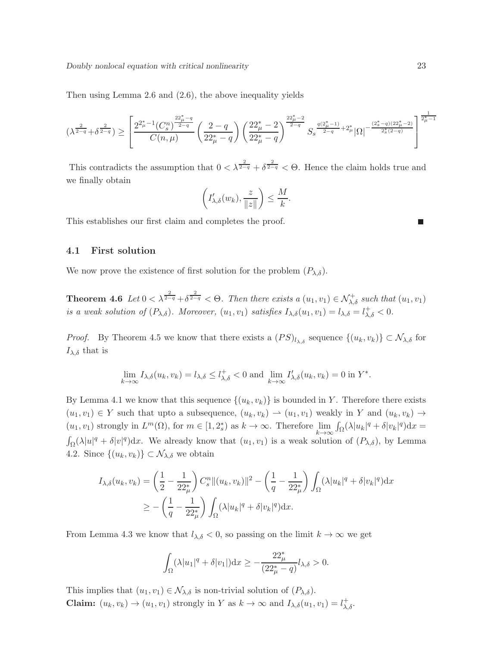Then using Lemma 2.6 and (2.6), the above inequality yields

$$
(\lambda^{\frac{2}{2-q}}+\delta^{\frac{2}{2-q}})\geq \left[\frac{2^{2_{\mu}^{\ast}-1}(C^{n}_{s})^{\frac{22_{\mu}^{\ast}-q}{2-q}}}{C(n,\mu)}\left(\frac{2-q}{22_{\mu}^{\ast}-q}\right)\left(\frac{22_{\mu}^{\ast}-2}{22_{\mu}^{\ast}-q}\right)^{\frac{22_{\mu}^{\ast}-2}{2-q}}S_{s}^{\frac{q(2_{\mu}^{\ast}-1)}{2-q}+2_{\mu}^{\ast}}|\Omega|^{-\frac{(2_{s}^{\ast}-q)(22_{\mu}^{\ast}-2)}{2_{s}^{\ast}(2-q)}}\right]^{\frac{1}{2_{\mu}^{\ast}-1}}
$$

This contradicts the assumption that  $0 < \lambda^{\frac{2}{2-q}} + \delta^{\frac{2}{2-q}} < \Theta$ . Hence the claim holds true and we finally obtain

$$
\left(I'_{\lambda,\delta}(w_k),\frac{z}{\|z\|}\right)\leq \frac{M}{k}.
$$

This establishes our first claim and completes the proof.

### 4.1 First solution

We now prove the existence of first solution for the problem  $(P_{\lambda,\delta})$ .

**Theorem 4.6** Let  $0 < \lambda^{\frac{2}{2-q}} + \delta^{\frac{2}{2-q}} < \Theta$ . Then there exists a  $(u_1, v_1) \in \mathcal{N}_{\lambda, \delta}^+$  such that  $(u_1, v_1)$ is a weak solution of  $(P_{\lambda,\delta})$ . Moreover,  $(u_1, v_1)$  satisfies  $I_{\lambda,\delta}(u_1, v_1) = l_{\lambda,\delta} = l_{\lambda,\delta}^+ < 0$ .

*Proof.* By Theorem 4.5 we know that there exists a  $(PS)_{l_{\lambda,\delta}}$  sequence  $\{(u_k,v_k)\}\subset \mathcal{N}_{\lambda,\delta}$  for  $I_{\lambda,\delta}$  that is

$$
\lim_{k \to \infty} I_{\lambda,\delta}(u_k, v_k) = l_{\lambda,\delta} \le l_{\lambda,\delta}^+ < 0 \text{ and } \lim_{k \to \infty} I'_{\lambda,\delta}(u_k, v_k) = 0 \text{ in } Y^*.
$$

By Lemma 4.1 we know that this sequence  $\{(u_k, v_k)\}\$ is bounded in Y. Therefore there exists  $(u_1, v_1) \in Y$  such that upto a subsequence,  $(u_k, v_k) \to (u_1, v_1)$  weakly in Y and  $(u_k, v_k) \to$  $(u_1, v_1)$  strongly in  $L^m(\Omega)$ , for  $m \in [1, 2_s^*)$  as  $k \to \infty$ . Therefore  $\lim_{k \to \infty} \int_{\Omega} (\lambda |u_k|^q + \delta |v_k|^q) dx =$  $\int_{\Omega} (\lambda |u|^q + \delta |v|^q) dx$ . We already know that  $(u_1, v_1)$  is a weak solution of  $(P_{\lambda,\delta})$ , by Lemma 4.2. Since  $\{(u_k, v_k)\}\subset \mathcal{N}_{\lambda,\delta}$  we obtain

$$
I_{\lambda,\delta}(u_k, v_k) = \left(\frac{1}{2} - \frac{1}{22_{\mu}^{*}}\right) C_s^{n} ||(u_k, v_k)||^2 - \left(\frac{1}{q} - \frac{1}{22_{\mu}^{*}}\right) \int_{\Omega} (\lambda |u_k|^q + \delta |v_k|^q) dx
$$
  

$$
\geq -\left(\frac{1}{q} - \frac{1}{22_{\mu}^{*}}\right) \int_{\Omega} (\lambda |u_k|^q + \delta |v_k|^q) dx.
$$

From Lemma 4.3 we know that  $l_{\lambda,\delta} < 0$ , so passing on the limit  $k \to \infty$  we get

$$
\int_{\Omega} (\lambda |u_1|^q + \delta |v_1|) \mathrm{d}x \ge -\frac{22_{\mu}^*}{(22_{\mu}^* - q)} l_{\lambda, \delta} > 0.
$$

This implies that  $(u_1, v_1) \in \mathcal{N}_{\lambda, \delta}$  is non-trivial solution of  $(P_{\lambda, \delta})$ . **Claim:**  $(u_k, v_k) \to (u_1, v_1)$  strongly in Y as  $k \to \infty$  and  $I_{\lambda, \delta}(u_1, v_1) = l_{\lambda, \delta}^+$ . П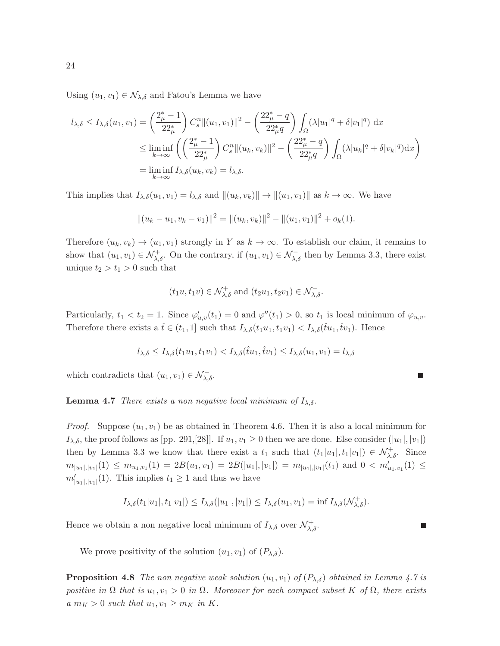Using  $(u_1, v_1) \in \mathcal{N}_{\lambda, \delta}$  and Fatou's Lemma we have

$$
l_{\lambda,\delta} \leq I_{\lambda,\delta}(u_1, v_1) = \left(\frac{2_{\mu}^* - 1}{22_{\mu}^*}\right) C_s^n \|(u_1, v_1)\|^2 - \left(\frac{22_{\mu}^* - q}{22_{\mu}^* q}\right) \int_{\Omega} (\lambda |u_1|^q + \delta |v_1|^q) dx
$$
  
\n
$$
\leq \liminf_{k \to \infty} \left( \left(\frac{2_{\mu}^* - 1}{22_{\mu}^*}\right) C_s^n \|(u_k, v_k)\|^2 - \left(\frac{22_{\mu}^* - q}{22_{\mu}^* q}\right) \int_{\Omega} (\lambda |u_k|^q + \delta |v_k|^q) dx \right)
$$
  
\n
$$
= \liminf_{k \to \infty} I_{\lambda,\delta}(u_k, v_k) = l_{\lambda,\delta}.
$$

This implies that  $I_{\lambda,\delta}(u_1, v_1) = l_{\lambda,\delta}$  and  $\|(u_k, v_k)\| \to \|(u_1, v_1)\|$  as  $k \to \infty$ . We have

$$
||(u_k - u_1, v_k - v_1)||^2 = ||(u_k, v_k)||^2 - ||(u_1, v_1)||^2 + o_k(1).
$$

Therefore  $(u_k, v_k) \to (u_1, v_1)$  strongly in Y as  $k \to \infty$ . To establish our claim, it remains to show that  $(u_1, v_1) \in \mathcal{N}_{\lambda, \delta}^+$ . On the contrary, if  $(u_1, v_1) \in \mathcal{N}_{\lambda, \delta}^-$  then by Lemma 3.3, there exist unique  $t_2 > t_1 > 0$  such that

$$
(t_1u, t_1v) \in \mathcal{N}_{\lambda, \delta}^+
$$
 and  $(t_2u_1, t_2v_1) \in \mathcal{N}_{\lambda, \delta}^-$ .

Particularly,  $t_1 < t_2 = 1$ . Since  $\varphi'_{u,v}(t_1) = 0$  and  $\varphi''(t_1) > 0$ , so  $t_1$  is local minimum of  $\varphi_{u,v}$ . Therefore there exists a  $\hat{t} \in (t_1, 1]$  such that  $I_{\lambda,\delta}(t_1u_1, t_1v_1) < I_{\lambda,\delta}(\hat{t}u_1, \hat{t}v_1)$ . Hence

$$
l_{\lambda,\delta} \leq I_{\lambda,\delta}(t_1u_1,t_1v_1) < I_{\lambda,\delta}(\hat{t}u_1,\hat{t}v_1) \leq I_{\lambda,\delta}(u_1,v_1) = l_{\lambda,\delta}
$$

П

which contradicts that  $(u_1, v_1) \in \mathcal{N}_{\lambda, \delta}^-$ .

#### **Lemma 4.7** There exists a non negative local minimum of  $I_{\lambda,\delta}$ .

*Proof.* Suppose  $(u_1, v_1)$  be as obtained in Theorem 4.6. Then it is also a local minimum for  $I_{\lambda,\delta}$ , the proof follows as [pp. 291,[28]]. If  $u_1, v_1 \geq 0$  then we are done. Else consider  $(|u_1|, |v_1|)$ then by Lemma 3.3 we know that there exist a  $t_1$  such that  $(t_1|u_1|, t_1|v_1|) \in \mathcal{N}_{\lambda,\delta}^+$ . Since  $m_{|u_1|,|v_1|}(1) \leq m_{u_1,v_1}(1) = 2B(u_1,v_1) = 2B(|u_1|,|v_1|) = m_{|u_1|,|v_1|}(t_1)$  and  $0 < m'_{u_1,v_1}(1) \leq$  $m'_{|u_1|,|v_1|}(1)$ . This implies  $t_1 \geq 1$  and thus we have

$$
I_{\lambda,\delta}(t_1|u_1|,t_1|v_1|) \leq I_{\lambda,\delta}(|u_1|,|v_1|) \leq I_{\lambda,\delta}(u_1,v_1) = \inf I_{\lambda,\delta}(\mathcal{N}_{\lambda,\delta}^+).
$$

Hence we obtain a non negative local minimum of  $I_{\lambda,\delta}$  over  $\mathcal{N}^+_{\lambda,\delta}$ .

We prove positivity of the solution  $(u_1, v_1)$  of  $(P_{\lambda,\delta})$ .

**Proposition 4.8** The non negative weak solution  $(u_1, v_1)$  of  $(P_{\lambda,\delta})$  obtained in Lemma 4.7 is positive in  $\Omega$  that is  $u_1, v_1 > 0$  in  $\Omega$ . Moreover for each compact subset K of  $\Omega$ , there exists a  $m_K > 0$  such that  $u_1, v_1 \geq m_K$  in K.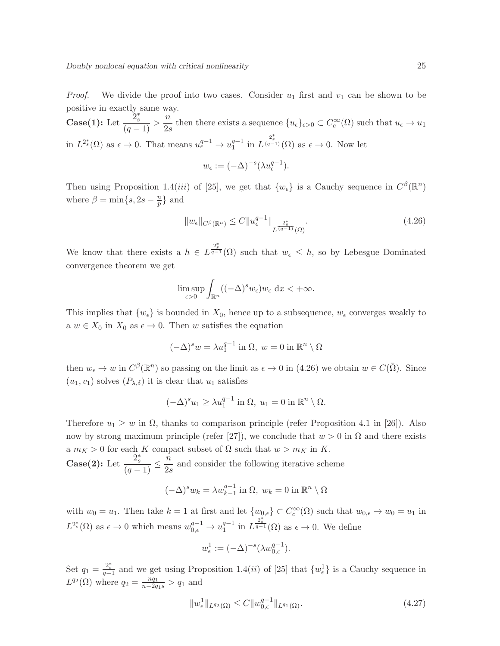*Proof.* We divide the proof into two cases. Consider  $u_1$  first and  $v_1$  can be shown to be positive in exactly same way.

**Case(1):** Let  $\frac{2^*_s}{(q-1)} > \frac{n}{2s}$  $\frac{n}{2s}$  then there exists a sequence  $\{u_{\epsilon}\}_{{\epsilon}>0}\subset C_c^{\infty}(\Omega)$  such that  $u_{\epsilon}\to u_1$ in  $L^{2_s^*}(\Omega)$  as  $\epsilon \to 0$ . That means  $u_{\epsilon}^{q-1} \to u_1^{q-1}$  $i_1^{q-1}$  in  $L^{\frac{2^*}{(q-1)}}(\Omega)$  as  $\epsilon \to 0$ . Now let

$$
w_\epsilon:=(-\Delta)^{-s}(\lambda u_\epsilon^{q-1}).
$$

Then using Proposition 1.4(*iii*) of [25], we get that  $\{w_{\epsilon}\}\$ is a Cauchy sequence in  $C^{\beta}(\mathbb{R}^n)$ where  $\beta = \min\{s, 2s - \frac{n}{n}\}$  $\frac{n}{p}$  and

$$
||w_{\epsilon}||_{C^{\beta}(\mathbb{R}^n)} \leq C||u_{\epsilon}^{q-1}||_{L^{\frac{2^*}{(q-1)}}(\Omega)}.
$$
\n(4.26)

We know that there exists a  $h \in L^{\frac{2^*_s}{q-1}}(\Omega)$  such that  $w_{\epsilon} \leq h$ , so by Lebesgue Dominated convergence theorem we get

$$
\limsup_{\epsilon>0}\int_{\mathbb{R}^n}((-\Delta)^s w_{\epsilon})w_{\epsilon}\,\mathrm{d}x<+\infty.
$$

This implies that  $\{w_{\epsilon}\}\$ is bounded in  $X_0$ , hence up to a subsequence,  $w_{\epsilon}$  converges weakly to a  $w \in X_0$  in  $X_0$  as  $\epsilon \to 0$ . Then w satisfies the equation

$$
(-\Delta)^s w = \lambda u_1^{q-1} \text{ in } \Omega, \ w = 0 \text{ in } \mathbb{R}^n \setminus \Omega
$$

then  $w_{\epsilon} \to w$  in  $C^{\beta}(\mathbb{R}^n)$  so passing on the limit as  $\epsilon \to 0$  in (4.26) we obtain  $w \in C(\overline{\Omega})$ . Since  $(u_1, v_1)$  solves  $(P_{\lambda,\delta})$  it is clear that  $u_1$  satisfies

$$
(-\Delta)^s u_1 \ge \lambda u_1^{q-1} \text{ in } \Omega, \ u_1 = 0 \text{ in } \mathbb{R}^n \setminus \Omega.
$$

Therefore  $u_1 \geq w$  in  $\Omega$ , thanks to comparison principle (refer Proposition 4.1 in [26]). Also now by strong maximum principle (refer [27]), we conclude that  $w > 0$  in  $\Omega$  and there exists a  $m_K > 0$  for each K compact subset of  $\Omega$  such that  $w > m_K$  in K.

**Case(2):** Let  $\frac{2_s^*}{(q-1)} \leq \frac{n}{2_s}$  $\frac{1}{2s}$  and consider the following iterative scheme

$$
(-\Delta)^s w_k = \lambda w_{k-1}^{q-1} \text{ in } \Omega, w_k = 0 \text{ in } \mathbb{R}^n \setminus \Omega
$$

with  $w_0 = u_1$ . Then take  $k = 1$  at first and let  $\{w_{0,\epsilon}\}\subset C_c^{\infty}(\Omega)$  such that  $w_{0,\epsilon} \to w_0 = u_1$  in  $L^{2^*_s}(\Omega)$  as  $\epsilon \to 0$  which means  $w^{q-1}_{0,\epsilon} \to u^{q-1}_1$  $i_1^{q-1}$  in  $L^{\frac{2^*_s}{q-1}}(\Omega)$  as  $\epsilon \to 0$ . We define

$$
w_{\epsilon}^1 := (-\Delta)^{-s} (\lambda w_{0,\epsilon}^{q-1}).
$$

Set  $q_1 = \frac{2_s^*}{q-1}$  and we get using Proposition 1.4(*ii*) of [25] that  $\{w_{\epsilon}^1\}$  is a Cauchy sequence in  $L^{q_2}(\Omega)$  where  $q_2 = \frac{nq_1}{n-2q_1s} > q_1$  and

$$
||w_{\epsilon}^{1}||_{L^{q_2}(\Omega)} \le C||w_{0,\epsilon}^{q-1}||_{L^{q_1}(\Omega)}.
$$
\n(4.27)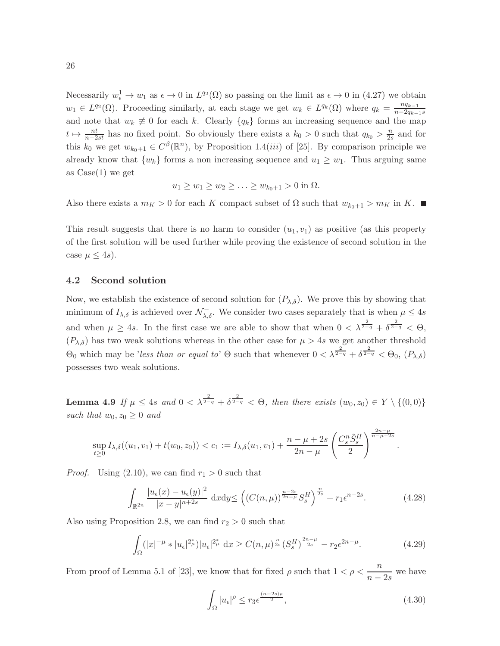Necessarily  $w_{\epsilon}^1 \to w_1$  as  $\epsilon \to 0$  in  $L^{q_2}(\Omega)$  so passing on the limit as  $\epsilon \to 0$  in (4.27) we obtain  $w_1 \in L^{q_2}(\Omega)$ . Proceeding similarly, at each stage we get  $w_k \in L^{q_k}(\Omega)$  where  $q_k = \frac{nq_{k-1}}{n-2q_{k-1}}$  $n-2q_{k-1}s$ and note that  $w_k \neq 0$  for each k. Clearly  $\{q_k\}$  forms an increasing sequence and the map  $t \mapsto \frac{nt}{n-2st}$  has no fixed point. So obviously there exists a  $k_0 > 0$  such that  $q_{k_0} > \frac{n}{2s}$  $\frac{n}{2s}$  and for this  $k_0$  we get  $w_{k_0+1} \in C^{\beta}(\mathbb{R}^n)$ , by Proposition 1.4(*iii*) of [25]. By comparison principle we already know that  $\{w_k\}$  forms a non increasing sequence and  $u_1 \geq w_1$ . Thus arguing same as Case(1) we get

$$
u_1 \ge w_1 \ge w_2 \ge \ldots \ge w_{k_0+1} > 0
$$
in  $\Omega$ .

Also there exists a  $m_K > 0$  for each K compact subset of  $\Omega$  such that  $w_{k_0+1} > m_K$  in K.

This result suggests that there is no harm to consider  $(u_1, v_1)$  as positive (as this property of the first solution will be used further while proving the existence of second solution in the case  $\mu \leq 4s$ ).

#### 4.2 Second solution

Now, we establish the existence of second solution for  $(P_{\lambda,\delta})$ . We prove this by showing that minimum of  $I_{\lambda,\delta}$  is achieved over  $\mathcal{N}_{\lambda,\delta}^-$ . We consider two cases separately that is when  $\mu \leq 4s$ and when  $\mu \geq 4s$ . In the first case we are able to show that when  $0 < \lambda^{\frac{2}{2-q}} + \delta^{\frac{2}{2-q}} < \Theta$ ,  $(P_{\lambda,\delta})$  has two weak solutions whereas in the other case for  $\mu > 4s$  we get another threshold  $\Theta_0$  which may be 'less than or equal to'  $\Theta$  such that whenever  $0 < \lambda^{\frac{2}{2-q}} + \delta^{\frac{2}{2-q}} < \Theta_0$ ,  $(P_{\lambda,\delta})$ possesses two weak solutions.

**Lemma 4.9** If  $\mu \leq 4s$  and  $0 < \lambda^{\frac{2}{2-q}} + \delta^{\frac{2}{2-q}} < \Theta$ , then there exists  $(w_0, z_0) \in Y \setminus \{(0, 0)\}\$ such that  $w_0, z_0 \geq 0$  and

$$
\sup_{t\geq 0} I_{\lambda,\delta}((u_1,v_1)+t(w_0,z_0)) < c_1 := I_{\lambda,\delta}(u_1,v_1) + \frac{n-\mu+2s}{2n-\mu} \left(\frac{C_s^n \tilde{S}_s^H}{2}\right)^{\frac{2n-\mu}{n-\mu+2s}}.
$$

*Proof.* Using  $(2.10)$ , we can find  $r_1 > 0$  such that

$$
\int_{\mathbb{R}^{2n}} \frac{|u_{\epsilon}(x) - u_{\epsilon}(y)|^2}{|x - y|^{n + 2s}} dxdy \le \left( (C(n, \mu))^{\frac{n - 2s}{2n - \mu}} S_s^H \right)^{\frac{n}{2s}} + r_1 \epsilon^{n - 2s}.
$$
\n(4.28)

Also using Proposition 2.8, we can find  $r_2 > 0$  such that

$$
\int_{\Omega} (|x|^{-\mu} * |u_{\epsilon}|^{2_{\mu}^{*}})|u_{\epsilon}|^{2_{\mu}^{*}} dx \ge C(n,\mu)^{\frac{n}{2s}} (S_{s}^{H})^{\frac{2n-\mu}{2s}} - r_{2}\epsilon^{2n-\mu}.
$$
 (4.29)

From proof of Lemma 5.1 of [23], we know that for fixed  $\rho$  such that  $1 < \rho < \frac{n}{\sqrt{n}}$  $\frac{n}{n-2s}$  we have

$$
\int_{\Omega} |u_{\epsilon}|^{\rho} \le r_3 \epsilon^{\frac{(n-2s)\rho}{2}},\tag{4.30}
$$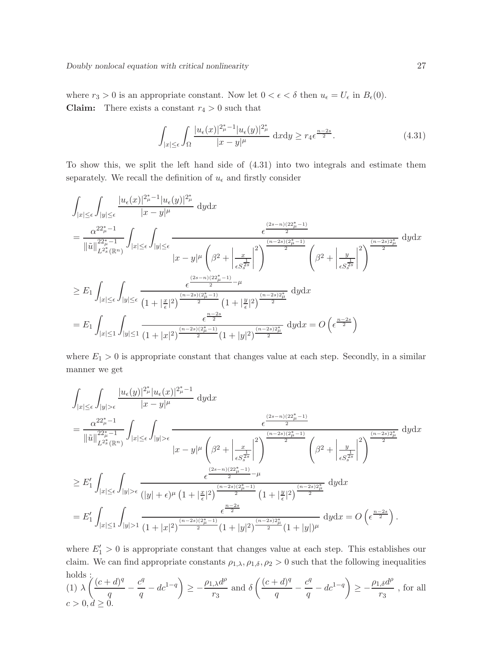Doubly nonlocal equation with critical nonlinearity 27

where  $r_3 > 0$  is an appropriate constant. Now let  $0 < \epsilon < \delta$  then  $u_{\epsilon} = U_{\epsilon}$  in  $B_{\epsilon}(0)$ . **Claim:** There exists a constant  $r_4 > 0$  such that

$$
\int_{|x| \le \epsilon} \int_{\Omega} \frac{|u_{\epsilon}(x)|^{2_{\mu}^{\ast}-1} |u_{\epsilon}(y)|^{2_{\mu}^{\ast}}}{|x-y|^{\mu}} dxdy \ge r_{4} \epsilon^{\frac{n-2s}{2}}.
$$
\n(4.31)

To show this, we split the left hand side of (4.31) into two integrals and estimate them separately. We recall the definition of  $u_{\epsilon}$  and firstly consider

$$
\begin{split} &\int_{|x|\leq\epsilon}\int_{|y|\leq\epsilon}\frac{|u_{\epsilon}(x)|^{2_{\mu}^{\ast}-1}|u_{\epsilon}(y)|^{2_{\mu}^{\ast}}}{|x-y|^{\mu}}~\mathrm{d}y\mathrm{d}x\\ &=\frac{\alpha^{22_{\mu}^{\ast}-1}}{\|\tilde{u}\|_{L^{2_{\delta}}^{\ast}}^{22_{\mu}^{\ast}-1}}\int_{|x|\leq\epsilon}\int_{|y|\leq\epsilon}\frac{e^{\frac{(2s-n)(22_{\mu}^{\ast}-1)}{2}}}{|x-y|^{\mu}\left(\beta^{2}+\left|\frac{x}{\epsilon S_{\delta}^{\frac{1}{2s}}}\right|\right)^{2}}\frac{\frac{(n-2s)(2_{\mu}^{\ast}-1)}{2}}{2}\left(\beta^{2}+\left|\frac{y}{\epsilon S_{\delta}^{\frac{1}{2s}}}\right|\right)^{2}}\frac{\frac{(n-2s)2_{\mu}^{\ast}}{2}}{2}\mathrm{d}y\mathrm{d}x\\ &\geq E_{1}\int_{|x|\leq\epsilon}\int_{|y|\leq\epsilon}\frac{e^{\frac{(2s-n)(22_{\mu}^{\ast}-1)}{2}-\mu}}{(1+\left|\frac{x}{\epsilon}\right|^{2})^{\frac{(n-2s)(2_{\mu}^{\ast}-1)}{2}}(1+\left|\frac{y}{\epsilon}\right|^{2})^{\frac{(n-2s)2_{\mu}^{\ast}}{2}}}\mathrm{d}y\mathrm{d}x\\ &=E_{1}\int_{|x|\leq1}\int_{|y|\leq1}\frac{e^{\frac{n-2s}{2}}}{(1+|x|^{2})^{\frac{(n-2s)(2_{\mu}^{\ast}-1)}{2}}(1+|y|^{2})^{\frac{(n-2s)2_{\mu}^{\ast}}{2}}}\mathrm{d}y\mathrm{d}x=O\left(\epsilon^{\frac{n-2s}{2}}\right) \end{split}
$$

where  $E_1 > 0$  is appropriate constant that changes value at each step. Secondly, in a similar manner we get

$$
\int_{|x| \leq \epsilon} \int_{|y| > \epsilon} \frac{|u_{\epsilon}(y)|^{2_{\mu}^{\ast}}|u_{\epsilon}(x)|^{2_{\mu}^{\ast}-1}}{|x - y|^{\mu}} d y d x
$$
\n
$$
= \frac{\alpha^{22_{\mu}^{\ast}-1}}{\|\tilde{u}\|_{L^{2_{\mu}^{\ast}}}^{22_{\mu}^{\ast}-1}} \int_{|x| \leq \epsilon} \int_{|y| > \epsilon} \frac{\epsilon^{\frac{(2s - n)(22_{\mu}^{\ast}-1)}{2}}}{|x - y|^{\mu} \left(\beta^{2} + \left|\frac{x}{\epsilon S^{\frac{1}{2s}}}\right|^{2}\right)^{\frac{(n - 2s)(2_{\mu}^{\ast}-1)}{2}} \left(\beta^{2} + \left|\frac{y}{\epsilon S^{\frac{1}{2s}}}\right|^{2}\right)^{\frac{(n - 2s)2_{\mu}^{\ast}}{2}} d y d x}{\left(\beta^{2} + \left|\frac{y}{\epsilon S^{\frac{1}{2s}}}\right|^{2}\right)^{\frac{(n - 2s)2_{\mu}^{\ast}}{2}} d y d x}
$$
\n
$$
\geq E_{1}' \int_{|x| \leq \epsilon} \int_{|y| > \epsilon} \frac{\epsilon^{\frac{(2s - n)(22_{\mu}^{\ast}-1)}{2} - \mu}}{(|y| + \epsilon)^{\mu} (1 + |\frac{x}{\epsilon}|^{2})^{\frac{(n - 2s)(2_{\mu}^{\ast}-1)}{2}} (1 + |\frac{y}{\epsilon}|^{2})^{\frac{(n - 2s)2_{\mu}^{\ast}}{2}} d y d x}{\left(1 + |y|^{2}\right)^{\frac{(n - 2s)2_{\mu}^{\ast}}{2}} d y d x = O\left(\epsilon^{\frac{n - 2s}{2}}\right).
$$

where  $E'_1 > 0$  is appropriate constant that changes value at each step. This establishes our claim. We can find appropriate constants  $\rho_{1,\lambda}, \rho_{1,\delta}, \rho_2 > 0$  such that the following inequalities holds :  $\int_{1}^{1010} \lambda \left( \frac{(c+d)^q}{q} \right)$  $\frac{(-d)^q}{q} - \frac{c^q}{q}$  $\left(\frac{c^q}{q} - dc^{1-q}\right) \geq -\frac{\rho_{1,\lambda}d^{\rho}}{r_3}$  $\frac{d^{\rho}}{r_3}$  and  $\delta\left(\frac{(c+d)^q}{q}\right)$  $\frac{(-d)^q}{q} - \frac{c^q}{q}$  $\left(\frac{c^q}{q} - dc^{1-q}\right) \geq -\frac{\rho_{1,\delta}d^{\rho}}{r_3}$  $\frac{1}{r_3}$ , for all  $c > 0, d \geq 0.$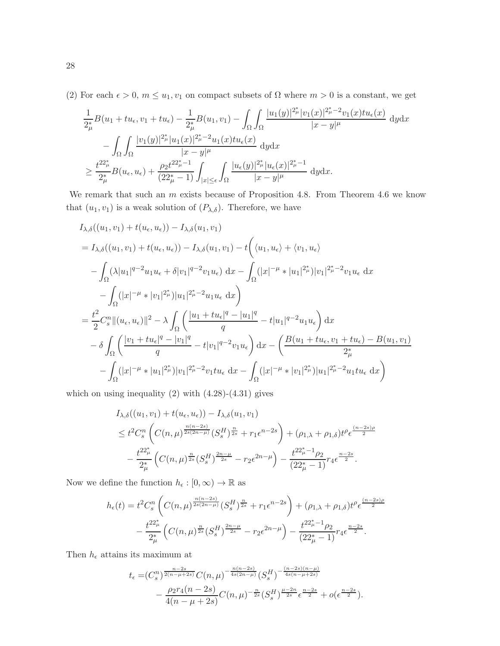(2) For each  $\epsilon > 0$ ,  $m \le u_1, v_1$  on compact subsets of  $\Omega$  where  $m > 0$  is a constant, we get

$$
\frac{1}{2_{\mu}^{*}}B(u_{1}+tu_{\epsilon},v_{1}+tu_{\epsilon})-\frac{1}{2_{\mu}^{*}}B(u_{1},v_{1})-\int_{\Omega}\int_{\Omega}\frac{|u_{1}(y)|^{2_{\mu}^{*}}|v_{1}(x)|^{2_{\mu}^{*}-2}v_{1}(x)tu_{\epsilon}(x)}{|x-y|^{\mu}}\ dydx -\int_{\Omega}\int_{\Omega}\frac{|v_{1}(y)|^{2_{\mu}^{*}}|u_{1}(x)|^{2_{\mu}^{*}-2}u_{1}(x)tu_{\epsilon}(x)}{|x-y|^{\mu}}\ dydx \geq \frac{t^{22_{\mu}^{*}}}{2_{\mu}^{*}}B(u_{\epsilon},u_{\epsilon})+\frac{\rho_{2}t^{22_{\mu}^{*}-1}}{(22_{\mu}^{*}-1)}\int_{|x|\leq\epsilon}\int_{\Omega}\frac{|u_{\epsilon}(y)|^{2_{\mu}^{*}}|u_{\epsilon}(x)|^{2_{\mu}^{*}-1}}{|x-y|^{\mu}}\ dydx.
$$

We remark that such an  $m$  exists because of Proposition 4.8. From Theorem 4.6 we know that  $(u_1, v_1)$  is a weak solution of  $(P_{\lambda, \delta})$ . Therefore, we have

$$
I_{\lambda,\delta}((u_1, v_1) + t(u_{\epsilon}, u_{\epsilon})) - I_{\lambda,\delta}(u_1, v_1)
$$
  
\n
$$
= I_{\lambda,\delta}((u_1, v_1) + t(u_{\epsilon}, u_{\epsilon})) - I_{\lambda,\delta}(u_1, v_1) - t\left(\langle u_1, u_{\epsilon}\rangle + \langle v_1, u_{\epsilon}\rangle\right)
$$
  
\n
$$
- \int_{\Omega} (\lambda |u_1|^{q-2} u_1 u_{\epsilon} + \delta |v_1|^{q-2} v_1 u_{\epsilon}) dx - \int_{\Omega} (|x|^{-\mu} * |u_1|^{2\mu} ) |v_1|^{2\mu} - 2v_1 u_{\epsilon} dx
$$
  
\n
$$
- \int_{\Omega} (|x|^{-\mu} * |v_1|^{2\mu} ) |u_1|^{2\mu} - 2u_1 u_{\epsilon} dx
$$
  
\n
$$
= \frac{t^2}{2} C_s^m ||(u_{\epsilon}, u_{\epsilon})||^2 - \lambda \int_{\Omega} \left(\frac{|u_1 + tu_{\epsilon}|^q - |u_1|^q}{q} - t|u_1|^{q-2} u_1 u_{\epsilon}\right) dx
$$
  
\n
$$
- \delta \int_{\Omega} \left(\frac{|v_1 + tu_{\epsilon}|^q - |v_1|^q}{q} - t|v_1|^{q-2} v_1 u_{\epsilon}\right) dx - \left(\frac{B(u_1 + tu_{\epsilon}, v_1 + tu_{\epsilon}) - B(u_1, v_1)}{2\mu} - \int_{\Omega} (|x|^{-\mu} * |u_1|^{2\mu}) |v_1|^{2\mu} - 2v_1 tu_{\epsilon} dx - \int_{\Omega} (|x|^{-\mu} * |v_1|^{2\mu}) |u_1|^{2\mu} - 2u_1 tu_{\epsilon} dx\right)
$$

which on using inequality  $(2)$  with  $(4.28)-(4.31)$  gives

$$
I_{\lambda,\delta}((u_1, v_1) + t(u_\epsilon, u_\epsilon)) - I_{\lambda,\delta}(u_1, v_1)
$$
  
\n
$$
\leq t^2 C_s^n \left( C(n,\mu)^{\frac{n(n-2s)}{2s(2n-\mu)}} (S_s^H)^{\frac{n}{2s}} + r_1 \epsilon^{n-2s} \right) + (\rho_{1,\lambda} + \rho_{1,\delta}) t^{\rho} \epsilon^{\frac{(n-2s)\rho}{2}}
$$
  
\n
$$
- \frac{t^{22\mu^*}}{2_\mu^*} \left( C(n,\mu)^{\frac{n}{2s}} (S_s^H)^{\frac{2n-\mu}{2s}} - r_2 \epsilon^{2n-\mu} \right) - \frac{t^{22\mu^*-1} \rho_2}{(22_\mu^* - 1)} r_4 \epsilon^{\frac{n-2s}{2}}.
$$

Now we define the function  $h_\epsilon:[0,\infty)\to\mathbb{R}$  as

$$
h_{\epsilon}(t) = t^{2} C_{s}^{n} \left( C(n,\mu)^{\frac{n(n-2s)}{2s(2n-\mu)}} (S_{s}^{H})^{\frac{n}{2s}} + r_{1} \epsilon^{n-2s} \right) + (\rho_{1,\lambda} + \rho_{1,\delta}) t^{\rho} \epsilon^{\frac{(n-2s)\rho}{2}} - \frac{t^{22_{\mu}^{\ast}}}{2_{\mu}^{\ast}} \left( C(n,\mu)^{\frac{n}{2s}} (S_{s}^{H})^{\frac{2n-\mu}{2s}} - r_{2} \epsilon^{2n-\mu} \right) - \frac{t^{22_{\mu}^{\ast}-1} \rho_{2}}{(22_{\mu}^{\ast}-1)} r_{4} \epsilon^{\frac{n-2s}{2}}.
$$

Then  $h_\epsilon$  attains its maximum at

$$
t_{\epsilon} = (C_s^n)^{\frac{n-2s}{2(n-\mu+2s)}} C(n,\mu)^{-\frac{n(n-2s)}{4s(n-\mu)}} (S_s^H)^{-\frac{(n-2s)(n-\mu)}{4s(n-\mu+2s)}} - \frac{\rho_2 r_4(n-2s)}{4(n-\mu+2s)} C(n,\mu)^{-\frac{n}{2s}} (S_s^H)^{\frac{\mu-2n}{2s}} \epsilon^{\frac{n-2s}{2}} + o(\epsilon^{\frac{n-2s}{2}}).
$$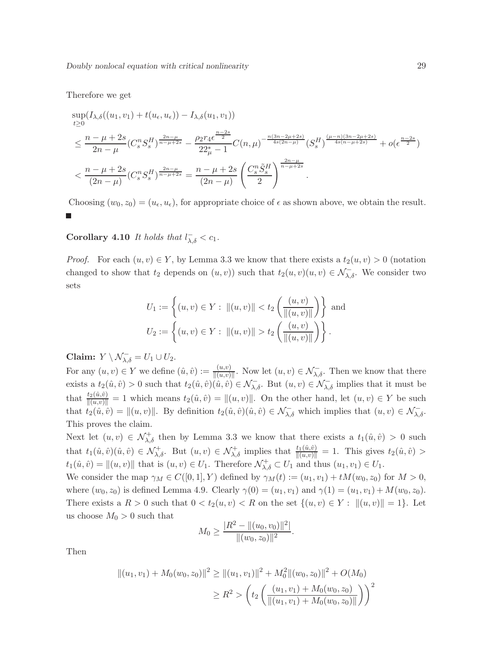#### Therefore we get

$$
\sup_{t\geq 0} (I_{\lambda,\delta}((u_1, v_1) + t(u_\epsilon, u_\epsilon)) - I_{\lambda,\delta}(u_1, v_1))
$$
\n
$$
\leq \frac{n - \mu + 2s}{2n - \mu} (C_s^n S_s^H)^{\frac{2n - \mu}{n - \mu + 2s}} - \frac{\rho_2 r_4 \epsilon^{\frac{n - 2s}{2}}}{22^*_{\mu} - 1} C(n, \mu)^{-\frac{n(3n - 2\mu + 2s)}{4s(2n - \mu)}} (S_s^H)^{\frac{(\mu - n)(3n - 2\mu + 2s)}{4s(n - \mu + 2s)}} + o(\epsilon^{\frac{n - 2s}{2}})
$$
\n
$$
< \frac{n - \mu + 2s}{(2n - \mu)} (C_s^n S_s^H)^{\frac{2n - \mu}{n - \mu + 2s}} = \frac{n - \mu + 2s}{(2n - \mu)} \left(\frac{C_s^n \tilde{S}_s^H}{2}\right)^{\frac{2n - \mu}{n - \mu + 2s}}.
$$

Choosing  $(w_0, z_0) = (u_\epsilon, u_\epsilon)$ , for appropriate choice of  $\epsilon$  as shown above, we obtain the result.

# **Corollary 4.10** It holds that  $l_{\lambda,\delta}^- < c_1$ .

*Proof.* For each  $(u, v) \in Y$ , by Lemma 3.3 we know that there exists a  $t_2(u, v) > 0$  (notation changed to show that  $t_2$  depends on  $(u, v)$  such that  $t_2(u, v)(u, v) \in \mathcal{N}_{\lambda, \delta}^-$ . We consider two sets

$$
U_1 := \left\{ (u, v) \in Y : ||(u, v)|| < t_2 \left( \frac{(u, v)}{|| (u, v) ||} \right) \right\} \text{ and}
$$
  

$$
U_2 := \left\{ (u, v) \in Y : ||(u, v)|| > t_2 \left( \frac{(u, v)}{|| (u, v) ||} \right) \right\}.
$$

# Claim:  $Y \setminus \mathcal{N}_{\lambda,\delta}^- = U_1 \cup U_2$ .

For any  $(u, v) \in Y$  we define  $(\hat{u}, \hat{v}) := \frac{(u, v)}{\|(u, v)\|}$ . Now let  $(u, v) \in \mathcal{N}_{\lambda, \delta}^-$ . Then we know that there exists a  $t_2(\hat{u}, \hat{v}) > 0$  such that  $t_2(\hat{u}, \hat{v})(\hat{u}, \hat{v}) \in \mathcal{N}_{\lambda, \delta}^-$ . But  $(u, v) \in \mathcal{N}_{\lambda, \delta}^-$  implies that it must be that  $\frac{t_2(\hat{u},\hat{v})}{\|(u,v)\|} = 1$  which means  $t_2(\hat{u},\hat{v}) = \|(u,v)\|$ . On the other hand, let  $(u,v) \in Y$  be such that  $t_2(\hat{u}, \hat{v}) = ||(u, v)||$ . By definition  $t_2(\hat{u}, \hat{v})(\hat{u}, \hat{v}) \in \mathcal{N}_{\lambda, \delta}^-$  which implies that  $(u, v) \in \mathcal{N}_{\lambda, \delta}^-$ . This proves the claim.

Next let  $(u, v) \in \mathcal{N}_{\lambda, \delta}^+$  then by Lemma 3.3 we know that there exists a  $t_1(\hat{u}, \hat{v}) > 0$  such that  $t_1(\hat{u}, \hat{v})(\hat{u}, \hat{v}) \in \mathcal{N}_{\lambda, \delta}^+$ . But  $(u, v) \in \mathcal{N}_{\lambda, \delta}^+$  implies that  $\frac{t_1(\hat{u}, \hat{v})}{\|(u, v)\|} = 1$ . This gives  $t_2(\hat{u}, \hat{v}) >$  $t_1(\hat{u}, \hat{v}) = ||(u, v)||$  that is  $(u, v) \in U_1$ . Therefore  $\mathcal{N}_{\lambda, \delta}^+ \subset U_1$  and thus  $(u_1, v_1) \in U_1$ .

We consider the map  $\gamma_M \in C([0,1], Y)$  defined by  $\gamma_M(t) := (u_1, v_1) + tM(w_0, z_0)$  for  $M > 0$ , where  $(w_0, z_0)$  is defined Lemma 4.9. Clearly  $\gamma(0) = (u_1, v_1)$  and  $\gamma(1) = (u_1, v_1) + M(w_0, z_0)$ . There exists a  $R > 0$  such that  $0 < t_2(u, v) < R$  on the set  $\{(u, v) \in Y : ||(u, v)|| = 1\}$ . Let us choose  $M_0 > 0$  such that

$$
M_0 \ge \frac{|R^2 - ||(u_0, v_0)||^2|}{||(w_0, z_0)||^2}.
$$

Then

$$
||(u_1, v_1) + M_0(w_0, z_0)||^2 \ge ||(u_1, v_1)||^2 + M_0^2 ||(w_0, z_0)||^2 + O(M_0)
$$
  

$$
\ge R^2 > \left(t_2 \left(\frac{(u_1, v_1) + M_0(w_0, z_0)}{||(u_1, v_1) + M_0(w_0, z_0)||}\right)\right)^2
$$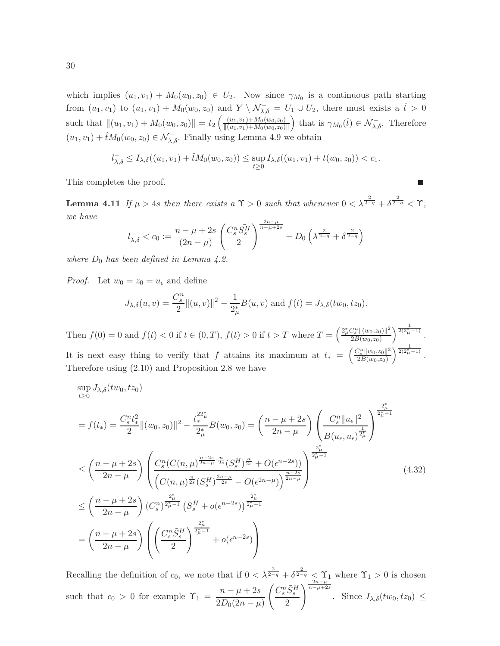which implies  $(u_1, v_1) + M_0(w_0, z_0) \in U_2$ . Now since  $\gamma_{M_0}$  is a continuous path starting from  $(u_1, v_1)$  to  $(u_1, v_1) + M_0(w_0, z_0)$  and  $Y \setminus \mathcal{N}_{\lambda, \delta}^- = U_1 \cup U_2$ , there must exists a  $\hat{t} > 0$ such that  $||(u_1, v_1) + M_0(w_0, z_0)|| = t_2 \left( \frac{(u_1, v_1) + M_0(w_0, z_0)}{||(u_1, v_1) + M_0(w_0, z_0)||} \right)$  $\frac{(u_1, v_1) + M_0(w_0, z_0)}{||(u_1, v_1) + M_0(w_0, z_0)||}$  that is  $\gamma_{M_0}(\hat{t}) \in \mathcal{N}_{\lambda, \delta}^{-}$ . Therefore  $(u_1, v_1) + \hat{t}M_0(w_0, z_0) \in \mathcal{N}_{\lambda, \delta}^-$ . Finally using Lemma 4.9 we obtain

$$
l_{\lambda,\delta}^- \leq I_{\lambda,\delta}((u_1,v_1) + \hat{t}M_0(w_0,z_0)) \leq \sup_{t \geq 0} I_{\lambda,\delta}((u_1,v_1) + t(w_0,z_0)) < c_1.
$$

This completes the proof.

**Lemma 4.11** If  $\mu > 4s$  then there exists a  $\Upsilon > 0$  such that whenever  $0 < \lambda^{\frac{2}{2-q}} + \delta^{\frac{2}{2-q}} < \Upsilon$ , we have

$$
l_{\lambda,\delta}^- < c_0 := \frac{n - \mu + 2s}{(2n - \mu)} \left( \frac{C_s^n \tilde{S}_s^H}{2} \right)^{\frac{2n - \mu}{n - \mu + 2s}} - D_0 \left( \lambda^{\frac{2}{2 - q}} + \delta^{\frac{2}{2 - q}} \right)
$$

where  $D_0$  has been defined in Lemma 4.2.

*Proof.* Let  $w_0 = z_0 = u_\epsilon$  and define

$$
J_{\lambda,\delta}(u,v) = \frac{C_s^n}{2} ||(u,v)||^2 - \frac{1}{2_{\mu}^*}B(u,v)
$$
 and  $f(t) = J_{\lambda,\delta}(tw_0, tz_0)$ .

Then  $f(0) = 0$  and  $f(t) < 0$  if  $t \in (0, T)$ ,  $f(t) > 0$  if  $t > T$  where  $T = \left(\frac{2\mu C_s^n ||(w_0, z_0)||^2}{2R(w_0, z_0)}\right)$  $\frac{C_s^n \|(w_0, z_0)\|^2}{2B(w_0, z_0)}$   $\frac{1}{2(2^*_\mu - 1)}$ . It is next easy thing to verify that f attains its maximum at  $t_* = \left(\frac{C_s^n \Vert w_0, z_0 \Vert^2}{2B(w_0, z_0)}\right)^2$  $\frac{C_s^n}{2B(w_0,z_0)}\frac{1}{2(2^*_\mu-1)}$ . Therefore using (2.10) and Proposition 2.8 we have

$$
\sup_{t\geq 0} J_{\lambda,\delta}(tw_0, tz_0)
$$
\n
$$
= f(t_*) = \frac{C_8^{n}t_*^2}{2} ||(w_0, z_0)||^2 - \frac{t_*^{22^*}}{2^*} B(w_0, z_0) = \left(\frac{n-\mu+2s}{2n-\mu}\right) \left(\frac{C_8^n ||u_{\epsilon}||^2}{B(u_{\epsilon}, u_{\epsilon})^{\frac{1}{2^*_{\mu}}}}\right)^{\frac{2^*_{\mu}}{2^*_{\mu}-1}}
$$
\n
$$
\leq \left(\frac{n-\mu+2s}{2n-\mu}\right) \left(\frac{C_8^n(C(n,\mu)^{\frac{n-2s}{2n-\mu}\cdot\frac{n}{2s}}(S_s^H))^{\frac{n}{2s}} + O(\epsilon^{n-2s}))}{\left(C(n,\mu)^{\frac{n}{2s}}(S_s^H)^{\frac{2n-\mu}{2s}} - O(\epsilon^{2n-\mu})\right)^{\frac{n-2s}{2n-\mu}}}\right)^{\frac{2^*_{\mu}}{2^*_{\mu}-1}}
$$
\n
$$
\leq \left(\frac{n-\mu+2s}{2n-\mu}\right) \left(C_8^n\right)^{\frac{2^*_{\mu}}{2^*_{\mu}-1}} \left(S_8^H + o(\epsilon^{n-2s})\right)^{\frac{2^*_{\mu}}{2^*_{\mu}-1}}
$$
\n
$$
= \left(\frac{n-\mu+2s}{2n-\mu}\right) \left(\left(\frac{C_8^n\tilde{S}_8^H}{2}\right)^{\frac{2^*_{\mu}}{2^*_{\mu}-1}} + o(\epsilon^{n-2s})\right)
$$
\n(4.32)

Recalling the definition of  $c_0$ , we note that if  $0 < \lambda^{\frac{2}{2-q}} + \delta^{\frac{2}{2-q}} < \Upsilon_1$  where  $\Upsilon_1 > 0$  is chosen such that  $c_0 > 0$  for example  $\Upsilon_1 = \frac{n - \mu + 2s}{2D_e(2m - \mu)}$  $2D_0(2n-\mu)$  $\int C_s^n \tilde{S}_s^H$ 2  $\frac{2n-\mu}{n-\mu+2s}$ . Since  $I_{\lambda,\delta}(tw_0,tz_0) \leq$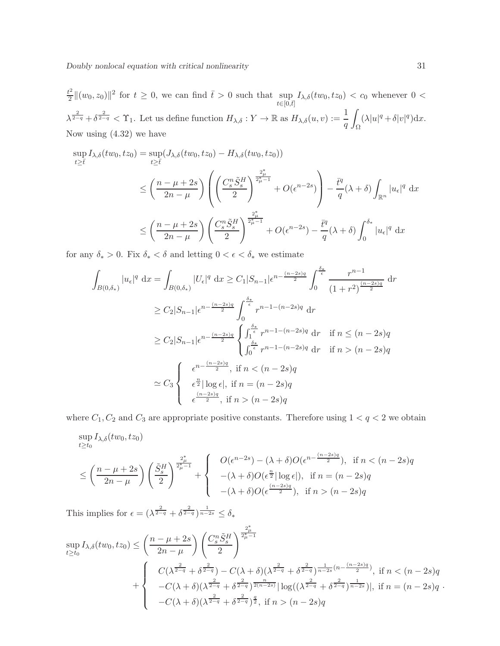$t^2$  $\frac{d^2}{2} ||(w_0, z_0)||^2$  for  $t \geq 0$ , we can find  $\bar{t} > 0$  such that sup  $t\in[0,\bar{t}]$  $I_{\lambda,\delta}(tw_0,tz_0) < c_0$  whenever  $0 <$  $\lambda^{\frac{2}{2-q}} + \delta^{\frac{2}{2-q}} < \Upsilon_1$ . Let us define function  $H_{\lambda,\delta}: Y \to \mathbb{R}$  as  $H_{\lambda,\delta}(u,v) := \frac{1}{q}$ Z Ω  $(\lambda |u|^q + \delta |v|^q) dx.$ Now using (4.32) we have

$$
\sup_{t \geq \overline{t}} I_{\lambda,\delta}(tw_0, t z_0) = \sup_{t \geq \overline{t}} (J_{\lambda,\delta}(tw_0, t z_0) - H_{\lambda,\delta}(tw_0, t z_0))
$$
\n
$$
\leq \left(\frac{n - \mu + 2s}{2n - \mu}\right) \left(\left(\frac{C_s^n \tilde{S}_s^H}{2}\right)^{\frac{2\mu}{2\mu - 1}} + O(\epsilon^{n - 2s})\right) - \frac{\overline{t}^q}{q}(\lambda + \delta) \int_{\mathbb{R}^n} |u_{\epsilon}|^q dx
$$
\n
$$
\leq \left(\frac{n - \mu + 2s}{2n - \mu}\right) \left(\frac{C_s^n \tilde{S}_s^H}{2}\right)^{\frac{2\mu}{2\mu - 1}} + O(\epsilon^{n - 2s}) - \frac{\overline{t}^q}{q}(\lambda + \delta) \int_0^{\delta_*} |u_{\epsilon}|^q dx
$$

for any  $\delta_* > 0$ . Fix  $\delta_* < \delta$  and letting  $0 < \epsilon < \delta_*$  we estimate

$$
\int_{B(0,\delta_*)} |u_{\epsilon}|^q dx = \int_{B(0,\delta_*)} |U_{\epsilon}|^q dx \ge C_1 |S_{n-1}| \epsilon^{n - \frac{(n-2s)q}{2}} \int_0^{\frac{\delta_*}{\epsilon}} \frac{r^{n-1}}{(1+r^2)^{\frac{(n-2s)q}{2}}} dr
$$
  
\n
$$
\ge C_2 |S_{n-1}| \epsilon^{n - \frac{(n-2s)q}{2}} \int_0^{\frac{\delta_*}{\epsilon}} r^{n-1 - (n-2s)q} dr
$$
  
\n
$$
\ge C_2 |S_{n-1}| \epsilon^{n - \frac{(n-2s)q}{2}} \begin{cases} \int_0^{\frac{\delta_*}{\epsilon}} r^{n-1 - (n-2s)q} dr & \text{if } n \le (n-2s)q \end{cases}
$$
  
\n
$$
\int_0^{\frac{\delta_*}{\epsilon}} r^{n-1 - (n-2s)q} dr & \text{if } n > (n-2s)q
$$
  
\n
$$
\approx C_3 \begin{cases} \epsilon^{n - \frac{(n-2s)q}{2}}, & \text{if } n < (n-2s)q \end{cases}
$$
  
\n
$$
\epsilon^{\frac{n}{2}} |\log \epsilon|, & \text{if } n = (n-2s)q
$$
  
\n
$$
\epsilon^{\frac{(n-2s)q}{2}}, & \text{if } n > (n-2s)q
$$

where  $C_1, C_2$  and  $C_3$  are appropriate positive constants. Therefore using  $1 < q < 2$  we obtain

$$
\sup_{t\geq t_0} I_{\lambda,\delta}(tw_0, tz_0)
$$
\n
$$
\leq \left(\frac{n-\mu+2s}{2n-\mu}\right) \left(\frac{\tilde{S}_s^H}{2}\right)^{\frac{2\tilde{\mu}}{2\tilde{\mu}-1}} + \left\{\n\begin{array}{l}\nO(\epsilon^{n-2s}) - (\lambda+\delta)O(\epsilon^{n-\frac{(n-2s)q}{2}}), & \text{if } n < (n-2s)q \\
-(\lambda+\delta)O(\epsilon^{\frac{n}{2}}|\log\epsilon|), & \text{if } n = (n-2s)q \\
-(\lambda+\delta)O(\epsilon^{\frac{(n-2s)q}{2}}), & \text{if } n > (n-2s)q\n\end{array}\n\right\}
$$

This implies for  $\epsilon = (\lambda^{\frac{2}{2-q}} + \delta^{\frac{2}{2-q}})^{\frac{1}{n-2s}} \leq \delta_*$ 

$$
\sup_{t \ge t_0} I_{\lambda,\delta}(tw_0, tz_0) \le \left(\frac{n-\mu+2s}{2n-\mu}\right) \left(\frac{C_s^n \tilde{S}_s^H}{2}\right)^{\frac{2\tilde{\mu}}{2\tilde{\mu}-1}} + \begin{cases} C(\lambda^{\frac{2}{2-q}} + \delta^{\frac{2}{2-q}}) - C(\lambda+\delta)(\lambda^{\frac{2}{2-q}} + \delta^{\frac{2}{2-q}})^{\frac{1}{n-2s}(n-\frac{(n-2s)q}{2})}, & \text{if } n < (n-2s)q\\ -C(\lambda+\delta)(\lambda^{\frac{2}{2-q}} + \delta^{\frac{2}{2-q}})^{\frac{n}{2(n-2s)}} |\log((\lambda^{\frac{2}{2-q}} + \delta^{\frac{2}{2-q}})^{\frac{1}{n-2s}})|, & \text{if } n = (n-2s)q\\ -C(\lambda+\delta)(\lambda^{\frac{2}{2-q}} + \delta^{\frac{2}{2-q}})^{\frac{q}{2}}, & \text{if } n > (n-2s)q \end{cases}
$$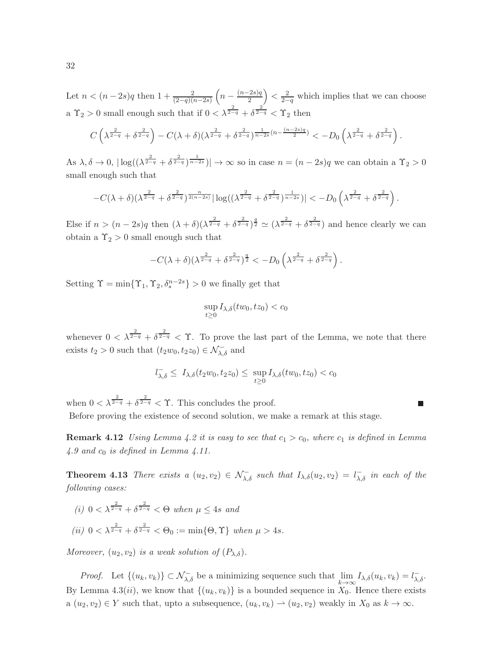Let  $n < (n-2s)q$  then  $1 + \frac{2}{(2-q)(n-2s)} \left(n - \frac{(n-2s)q}{2}\right)$  $\left(\frac{2s}{2}\right) < \frac{2}{2-q}$  which implies that we can choose a  $\Upsilon_2 > 0$  small enough such that if  $0 < \lambda^{\frac{2}{2-q}} + \delta^{\frac{2}{2-q}} < \Upsilon_2$  then

$$
C\left(\lambda^{\frac{2}{2-q}}+\delta^{\frac{2}{2-q}}\right)-C(\lambda+\delta)(\lambda^{\frac{2}{2-q}}+\delta^{\frac{2}{2-q}})^{\frac{1}{n-2s}(n-\frac{(n-2s)q}{2})}\le-D_0\left(\lambda^{\frac{2}{2-q}}+\delta^{\frac{2}{2-q}}\right).
$$

As  $\lambda, \delta \to 0$ ,  $|\log((\lambda^{\frac{2}{2-q}} + \delta^{\frac{2}{2-q}})^{\frac{1}{n-2s}})| \to \infty$  so in case  $n = (n-2s)q$  we can obtain a  $\Upsilon_2 > 0$ small enough such that

$$
-C(\lambda+\delta)(\lambda^{\frac{2}{2-q}}+\delta^{\frac{2}{2-q}})^{\frac{n}{2(n-2s)}}|\log((\lambda^{\frac{2}{2-q}}+\delta^{\frac{2}{2-q}})^{\frac{1}{n-2s}})|<-D_0\left(\lambda^{\frac{2}{2-q}}+\delta^{\frac{2}{2-q}}\right).
$$

Else if  $n > (n-2s)q$  then  $(\lambda + \delta)(\lambda^{\frac{2}{2-q}} + \delta^{\frac{2}{2-q}})^{\frac{q}{2}} \simeq (\lambda^{\frac{2}{2-q}} + \delta^{\frac{2}{2-q}})$  and hence clearly we can obtain a  $\Upsilon_2 > 0$  small enough such that

$$
-C(\lambda + \delta)(\lambda^{\frac{2}{2-q}} + \delta^{\frac{2}{2-q}})^{\frac{q}{2}} < -D_0\left(\lambda^{\frac{2}{2-q}} + \delta^{\frac{2}{2-q}}\right).
$$

Setting  $\Upsilon = \min{\{\Upsilon_1, \Upsilon_2, \delta_*^{n-2s}\}} > 0$  we finally get that

$$
\sup_{t\geq 0} I_{\lambda,\delta}(tw_0,tz_0)
$$

whenever  $0 < \lambda^{\frac{2}{2-q}} + \delta^{\frac{2}{2-q}} < \Upsilon$ . To prove the last part of the Lemma, we note that there exists  $t_2 > 0$  such that  $(t_2w_0, t_2z_0) \in \mathcal{N}_{\lambda, \delta}^-$  and

$$
l_{\lambda,\delta}^- \leq I_{\lambda,\delta}(t_2w_0,t_2z_0) \leq \sup_{t \geq 0} I_{\lambda,\delta}(tw_0,tz_0) < c_0
$$

П

when  $0 < \lambda^{\frac{2}{2-q}} + \delta^{\frac{2}{2-q}} < \Upsilon$ . This concludes the proof.

Before proving the existence of second solution, we make a remark at this stage.

**Remark 4.12** Using Lemma 4.2 it is easy to see that  $c_1 > c_0$ , where  $c_1$  is defined in Lemma  $4.9$  and  $c_0$  is defined in Lemma  $4.11$ .

**Theorem 4.13** There exists  $a(u_2, v_2) \in \mathcal{N}_{\lambda, \delta}^-$  such that  $I_{\lambda, \delta}(u_2, v_2) = I_{\lambda, \delta}^-$  in each of the following cases:

(i)  $0 < \lambda^{\frac{2}{2-q}} + \delta^{\frac{2}{2-q}} < \Theta$  when  $\mu \leq 4s$  and (ii)  $0 < \lambda^{\frac{2}{2-q}} + \delta^{\frac{2}{2-q}} < \Theta_0 := \min\{\Theta, \Upsilon\}$  when  $\mu > 4s$ .

Moreover,  $(u_2, v_2)$  is a weak solution of  $(P_{\lambda,\delta})$ .

Proof. Let  $\{(u_k, v_k)\}\subset \mathcal{N}_{\lambda,\delta}^-$  be a minimizing sequence such that  $\lim_{k\to\infty} I_{\lambda,\delta}(u_k, v_k) = l_{\lambda,\delta}^-$ . By Lemma 4.3(*ii*), we know that  $\{(u_k, v_k)\}\$ is a bounded sequence in  $X_0$ . Hence there exists a  $(u_2, v_2) \in Y$  such that, upto a subsequence,  $(u_k, v_k) \to (u_2, v_2)$  weakly in  $X_0$  as  $k \to \infty$ .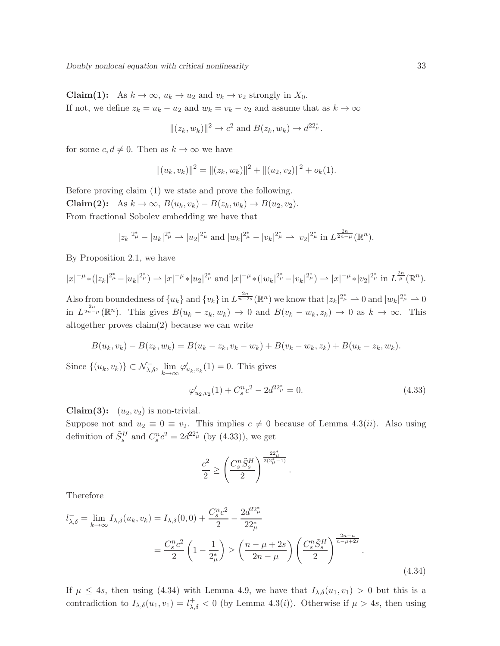**Claim(1):** As  $k \to \infty$ ,  $u_k \to u_2$  and  $v_k \to v_2$  strongly in  $X_0$ . If not, we define  $z_k = u_k - u_2$  and  $w_k = v_k - v_2$  and assume that as  $k \to \infty$ 

$$
||(z_k, w_k)||^2 \to c^2
$$
 and  $B(z_k, w_k) \to d^{22^*_{\mu}}$ .

for some  $c, d \neq 0$ . Then as  $k \to \infty$  we have

$$
||(u_k, v_k)||^2 = ||(z_k, w_k)||^2 + ||(u_2, v_2)||^2 + o_k(1).
$$

Before proving claim (1) we state and prove the following. Claim(2): As  $k \to \infty$ ,  $B(u_k, v_k) - B(z_k, w_k) \to B(u_2, v_2)$ . From fractional Sobolev embedding we have that

$$
|z_k|^{2^*_{\mu}} - |u_k|^{2^*_{\mu}} \rightharpoonup |u_2|^{2^*_{\mu}}
$$
 and  $|w_k|^{2^*_{\mu}} - |v_k|^{2^*_{\mu}} \rightharpoonup |v_2|^{2^*_{\mu}}$  in  $L^{\frac{2n}{2n-\mu}}(\mathbb{R}^n)$ .

By Proposition 2.1, we have

$$
|x|^{-\mu} * (|z_k|^{2\mu} - |u_k|^{2\mu}) \rightharpoonup |x|^{-\mu} * |u_2|^{2\mu} \text{ and } |x|^{-\mu} * (|w_k|^{2\mu} - |v_k|^{2\mu}) \rightharpoonup |x|^{-\mu} * |v_2|^{2\mu} \text{ in } L^{\frac{2n}{\mu}}(\mathbb{R}^n).
$$

Also from boundedness of  $\{u_k\}$  and  $\{v_k\}$  in  $L^{\frac{2n}{n-2s}}(\mathbb{R}^n)$  we know that  $|z_k|^{2^*_\mu}\to 0$  and  $|w_k|^{2^*_\mu}\to 0$ in  $L^{\frac{2n}{2n-\mu}}(\mathbb{R}^n)$ . This gives  $B(u_k - z_k, w_k) \to 0$  and  $B(v_k - w_k, z_k) \to 0$  as  $k \to \infty$ . This altogether proves claim(2) because we can write

$$
B(u_k, v_k) - B(z_k, w_k) = B(u_k - z_k, v_k - w_k) + B(v_k - w_k, z_k) + B(u_k - z_k, w_k).
$$

Since  $\{(u_k, v_k)\}\subset \mathcal{N}_{\lambda, \delta}^-$ ,  $\lim_{k\to\infty} \varphi'_{u_k, v_k}(1) = 0$ . This gives

$$
\varphi'_{u_2, v_2}(1) + C_s^n c^2 - 2d^{22^*_{\mu}} = 0.
$$
\n(4.33)

Claim(3):  $(u_2, v_2)$  is non-trivial.

Suppose not and  $u_2 \equiv 0 \equiv v_2$ . This implies  $c \neq 0$  because of Lemma 4.3(*ii*). Also using definition of  $\tilde{S}_s^H$  and  $C_s^n c^2 = 2d^{22^*_{\mu}}$  (by (4.33)), we get

$$
\frac{c^2}{2} \ge \left(\frac{C_s^n \tilde{S}_s^H}{2}\right)^{\frac{22_{\mu}^*}{2(2_{\mu}^* - 1)}}.
$$

Therefore

$$
l_{\lambda,\delta}^- = \lim_{k \to \infty} I_{\lambda,\delta}(u_k, v_k) = I_{\lambda,\delta}(0,0) + \frac{C_s^n c^2}{2} - \frac{2d^{22\frac{n}{\mu}}}{22\frac{n}{\mu}} = \frac{C_s^n c^2}{2} \left(1 - \frac{1}{2\frac{n}{\mu}}\right) \ge \left(\frac{n - \mu + 2s}{2n - \mu}\right) \left(\frac{C_s^n \tilde{S}_s^H}{2}\right)^{\frac{2n - \mu}{n - \mu + 2s}}.
$$
(4.34)

If  $\mu \leq 4s$ , then using (4.34) with Lemma 4.9, we have that  $I_{\lambda,\delta}(u_1, v_1) > 0$  but this is a contradiction to  $I_{\lambda,\delta}(u_1,v_1)=l_{\lambda,\delta}^+<0$  (by Lemma 4.3(*i*)). Otherwise if  $\mu > 4s$ , then using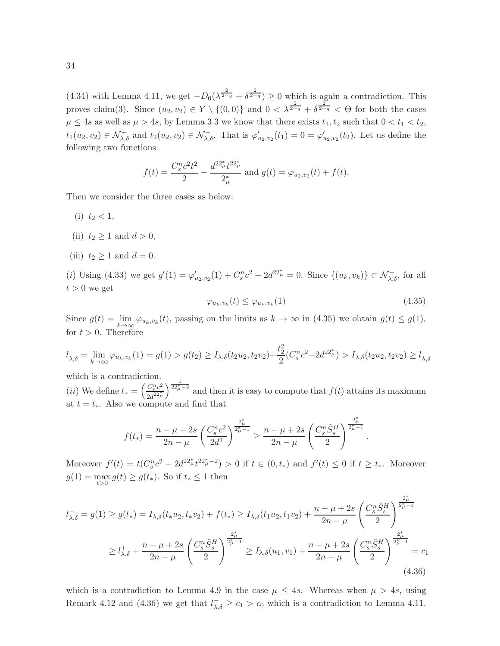(4.34) with Lemma 4.11, we get  $-D_0(\lambda^{\frac{2}{2-q}}+\delta^{\frac{2}{2-q}}) \geq 0$  which is again a contradiction. This proves claim(3). Since  $(u_2, v_2) \in Y \setminus \{(0, 0)\}\$ and  $0 < \lambda^{\frac{2}{2-q}} + \delta^{\frac{2}{2-q}} < \Theta$  for both the cases  $\mu \leq 4s$  as well as  $\mu > 4s$ , by Lemma 3.3 we know that there exists  $t_1, t_2$  such that  $0 < t_1 < t_2$ ,  $t_1(u_2, v_2) \in \mathcal{N}_{\lambda, \delta}^+$  and  $t_2(u_2, v_2) \in \mathcal{N}_{\lambda, \delta}^-$ . That is  $\varphi'_{u_2, v_2}(t_1) = 0 = \varphi'_{u_2, v_2}(t_2)$ . Let us define the following two functions

$$
f(t) = \frac{C_s^n c^2 t^2}{2} - \frac{d^{22_{\mu}^*} t^{22_{\mu}^*}}{2_{\mu}^*}
$$
 and  $g(t) = \varphi_{u_2, v_2}(t) + f(t)$ .

Then we consider the three cases as below:

- (i)  $t_2 < 1$ ,
- (ii)  $t_2 \geq 1$  and  $d > 0$ ,
- (iii)  $t_2 \geq 1$  and  $d = 0$ .

(i) Using (4.33) we get  $g'(1) = \varphi'_{u_2, v_2}(1) + C_s^n c^2 - 2d^{2n} = 0$ . Since  $\{(u_k, v_k)\}\subset \mathcal{N}_{\lambda, \delta}^-$ , for all  $t > 0$  we get

$$
\varphi_{u_k, v_k}(t) \le \varphi_{u_k, v_k}(1) \tag{4.35}
$$

Since  $g(t) = \lim_{k \to \infty} \varphi_{u_k, v_k}(t)$ , passing on the limits as  $k \to \infty$  in (4.35) we obtain  $g(t) \le g(1)$ , for  $t > 0$ . Therefore

$$
l_{\lambda,\delta}^- = \lim_{k \to \infty} \varphi_{u_k, v_k}(1) = g(1) > g(t_2) \ge I_{\lambda,\delta}(t_2u_2, t_2v_2) + \frac{t_2^2}{2} (C_s^n c^2 - 2d^{22\mu}) > I_{\lambda,\delta}(t_2u_2, t_2v_2) \ge l_{\lambda,\delta}^-
$$

which is a contradiction.

(*ii*) We define  $t_* = \left(\frac{C_s^n c^2}{2d^2}\right)$  $\frac{C_s^n c^2}{2d^{22\mu} \mu}$  and then it is easy to compute that  $f(t)$  attains its maximum at  $t = t_*$ . Also we compute and find that

$$
f(t_*) = \frac{n-\mu+2s}{2n-\mu}\left(\frac{C_s^n c^2}{2d^2}\right)^{\frac{2_{\mu}^*}{2_{\mu}^*-1}} \geq \frac{n-\mu+2s}{2n-\mu}\left(\frac{C_s^n \tilde{S}_s^H}{2}\right)^{\frac{2_{\mu}^*}{2_{\mu}^*-1}}.
$$

Moreover  $f'(t) = t(C_s^n c^2 - 2d^{22^*_\mu} t^{22^*_\mu - 2}) > 0$  if  $t \in (0, t_*)$  and  $f'(t) \leq 0$  if  $t \geq t_*$ . Moreover  $g(1) = \max_{t>0} g(t) \ge g(t_*)$ . So if  $t_* \le 1$  then

$$
l_{\lambda,\delta}^{-} = g(1) \ge g(t_{*}) = I_{\lambda,\delta}(t_{*}u_{2}, t_{*}v_{2}) + f(t_{*}) \ge I_{\lambda,\delta}(t_{1}u_{2}, t_{1}v_{2}) + \frac{n-\mu+2s}{2n-\mu} \left(\frac{C_{s}^{n}\tilde{S}_{s}^{H}}{2}\right)^{\frac{2_{\mu}^{*}}{2_{\mu}^{*}-1}} \ge I_{\lambda,\delta}^{+} + \frac{n-\mu+2s}{2n-\mu} \left(\frac{C_{s}^{n}\tilde{S}_{s}^{H}}{2}\right)^{\frac{2_{\mu}^{*}}{2_{\mu}^{*}-1}} \ge I_{\lambda,\delta}(u_{1}, v_{1}) + \frac{n-\mu+2s}{2n-\mu} \left(\frac{C_{s}^{n}\tilde{S}_{s}^{H}}{2}\right)^{\frac{2_{\mu}^{*}}{2_{\mu}^{*}-1}} = c_{1}
$$
\n(4.36)

which is a contradiction to Lemma 4.9 in the case  $\mu \leq 4s$ . Whereas when  $\mu > 4s$ , using Remark 4.12 and (4.36) we get that  $l_{\lambda,\delta}^{-} \geq c_1 > c_0$  which is a contradiction to Lemma 4.11.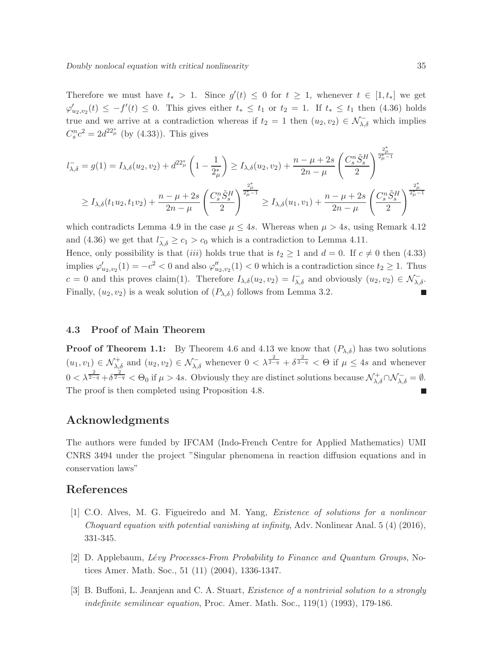Therefore we must have  $t_* > 1$ . Since  $g'(t) \leq 0$  for  $t \geq 1$ , whenever  $t \in [1, t_*]$  we get  $\varphi'_{u_2,v_2}(t) \leq -f'(t) \leq 0$ . This gives either  $t_* \leq t_1$  or  $t_2 = 1$ . If  $t_* \leq t_1$  then (4.36) holds true and we arrive at a contradiction whereas if  $t_2 = 1$  then  $(u_2, v_2) \in \mathcal{N}_{\lambda, \delta}^-$  which implies  $C_s^n c^2 = 2d^{22^*_{\mu}}$  (by (4.33)). This gives

$$
l_{\lambda,\delta}^{-} = g(1) = I_{\lambda,\delta}(u_2, v_2) + d^{22_{\mu}^*} \left(1 - \frac{1}{2_{\mu}^*}\right) \geq I_{\lambda,\delta}(u_2, v_2) + \frac{n - \mu + 2s}{2n - \mu} \left(\frac{C_s^n \tilde{S}_s^H}{2}\right)^{\frac{2_{\mu}^*}{2_{\mu}^* - 1}}
$$
  

$$
\geq I_{\lambda,\delta}(t_1 u_2, t_1 v_2) + \frac{n - \mu + 2s}{2n - \mu} \left(\frac{C_s^n \tilde{S}_s^H}{2}\right)^{\frac{2_{\mu}^*}{2_{\mu}^* - 1}} \geq I_{\lambda,\delta}(u_1, v_1) + \frac{n - \mu + 2s}{2n - \mu} \left(\frac{C_s^n \tilde{S}_s^H}{2}\right)^{\frac{2_{\mu}^*}{2_{\mu}^* - 1}}
$$

which contradicts Lemma 4.9 in the case  $\mu \leq 4s$ . Whereas when  $\mu > 4s$ , using Remark 4.12 and (4.36) we get that  $l_{\lambda,\delta}^{-} \geq c_1 > c_0$  which is a contradiction to Lemma 4.11.

Hence, only possibility is that (iii) holds true that is  $t_2 \geq 1$  and  $d = 0$ . If  $c \neq 0$  then (4.33) implies  $\varphi'_{u_2,v_2}(1) = -c^2 < 0$  and also  $\varphi''_{u_2,v_2}(1) < 0$  which is a contradiction since  $t_2 \ge 1$ . Thus  $c = 0$  and this proves claim(1). Therefore  $I_{\lambda,\delta}(u_2, v_2) = I_{\lambda,\delta}^-$  and obviously  $(u_2, v_2) \in \mathcal{N}_{\lambda,\delta}^-$ . Finally,  $(u_2, v_2)$  is a weak solution of  $(P_{\lambda,\delta})$  follows from Lemma 3.2.

#### 4.3 Proof of Main Theorem

**Proof of Theorem 1.1:** By Theorem 4.6 and 4.13 we know that  $(P_{\lambda,\delta})$  has two solutions  $(u_1, v_1) \in \mathcal{N}_{\lambda, \delta}^+$  and  $(u_2, v_2) \in \mathcal{N}_{\lambda, \delta}^-$  whenever  $0 < \lambda^{\frac{2}{2-q}} + \delta^{\frac{2}{2-q}} < \Theta$  if  $\mu \leq 4s$  and whenever  $0 < \lambda^{\frac{2}{2-q}} + \delta^{\frac{2}{2-q}} < \Theta_0$  if  $\mu > 4s$ . Obviously they are distinct solutions because  $\mathcal{N}^+_{\lambda,\delta} \cap \mathcal{N}^-_{\lambda,\delta} = \emptyset$ . The proof is then completed using Proposition 4.8.

## Acknowledgments

The authors were funded by IFCAM (Indo-French Centre for Applied Mathematics) UMI CNRS 3494 under the project "Singular phenomena in reaction diffusion equations and in conservation laws"

## References

- [1] C.O. Alves, M. G. Figueiredo and M. Yang, Existence of solutions for a nonlinear Choquard equation with potential vanishing at infinity, Adv. Nonlinear Anal.  $5(4)(2016)$ , 331-345.
- [2] D. Applebaum, Lévy Processes-From Probability to Finance and Quantum Groups, Notices Amer. Math. Soc., 51 (11) (2004), 1336-1347.
- [3] B. Buffoni, L. Jeanjean and C. A. Stuart, Existence of a nontrivial solution to a strongly indefinite semilinear equation, Proc. Amer. Math. Soc., 119(1) (1993), 179-186.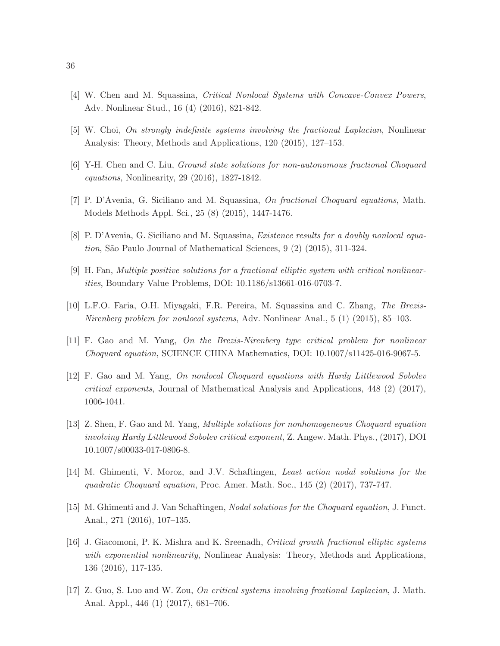- [4] W. Chen and M. Squassina, Critical Nonlocal Systems with Concave-Convex Powers, Adv. Nonlinear Stud., 16 (4) (2016), 821-842.
- [5] W. Choi, On strongly indefinite systems involving the fractional Laplacian, Nonlinear Analysis: Theory, Methods and Applications, 120 (2015), 127–153.
- [6] Y-H. Chen and C. Liu, Ground state solutions for non-autonomous fractional Choquard equations, Nonlinearity, 29 (2016), 1827-1842.
- [7] P. D'Avenia, G. Siciliano and M. Squassina, On fractional Choquard equations, Math. Models Methods Appl. Sci., 25 (8) (2015), 1447-1476.
- [8] P. D'Avenia, G. Siciliano and M. Squassina, Existence results for a doubly nonlocal equation, São Paulo Journal of Mathematical Sciences, 9 (2) (2015), 311-324.
- [9] H. Fan, Multiple positive solutions for a fractional elliptic system with critical nonlinearities, Boundary Value Problems, DOI: 10.1186/s13661-016-0703-7.
- [10] L.F.O. Faria, O.H. Miyagaki, F.R. Pereira, M. Squassina and C. Zhang, The Brezis-Nirenberg problem for nonlocal systems, Adv. Nonlinear Anal., 5 (1) (2015), 85–103.
- [11] F. Gao and M. Yang, On the Brezis-Nirenberg type critical problem for nonlinear Choquard equation, SCIENCE CHINA Mathematics, DOI: 10.1007/s11425-016-9067-5.
- [12] F. Gao and M. Yang, On nonlocal Choquard equations with Hardy Littlewood Sobolev critical exponents, Journal of Mathematical Analysis and Applications, 448 (2) (2017), 1006-1041.
- [13] Z. Shen, F. Gao and M. Yang, Multiple solutions for nonhomogeneous Choquard equation involving Hardy Littlewood Sobolev critical exponent, Z. Angew. Math. Phys., (2017), DOI 10.1007/s00033-017-0806-8.
- [14] M. Ghimenti, V. Moroz, and J.V. Schaftingen, Least action nodal solutions for the quadratic Choquard equation, Proc. Amer. Math. Soc., 145 (2) (2017), 737-747.
- [15] M. Ghimenti and J. Van Schaftingen, Nodal solutions for the Choquard equation, J. Funct. Anal., 271 (2016), 107–135.
- [16] J. Giacomoni, P. K. Mishra and K. Sreenadh, Critical growth fractional elliptic systems with exponential nonlinearity, Nonlinear Analysis: Theory, Methods and Applications, 136 (2016), 117-135.
- [17] Z. Guo, S. Luo and W. Zou, On critical systems involving frcational Laplacian, J. Math. Anal. Appl., 446 (1) (2017), 681–706.